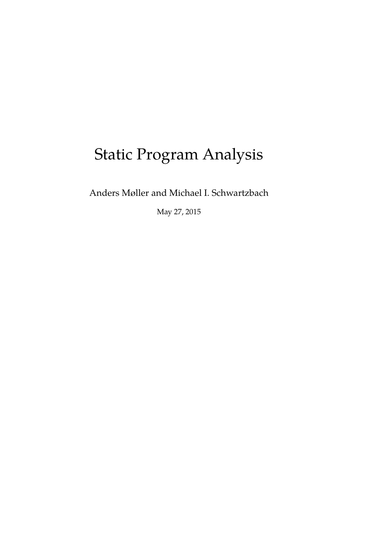# Static Program Analysis

Anders Møller and Michael I. Schwartzbach

May 27, 2015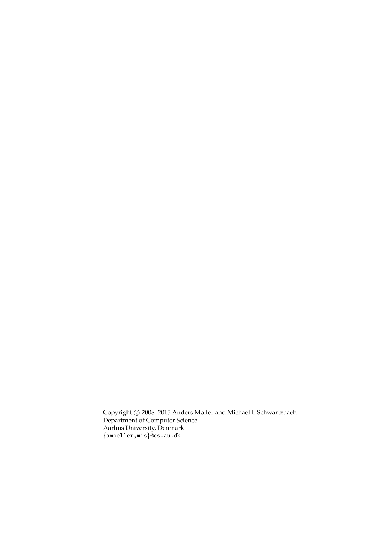Copyright © 2008–2015 Anders Møller and Michael I. Schwartzbach Department of Computer Science Aarhus University, Denmark {amoeller,mis}@cs.au.dk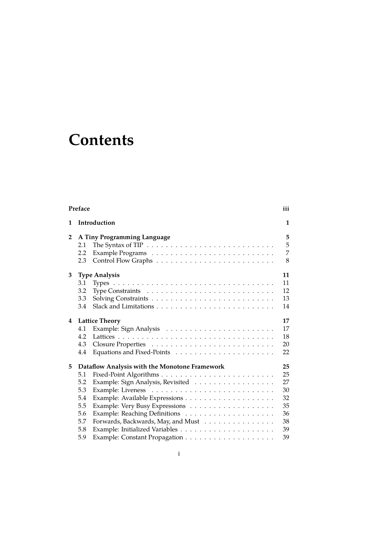## **Contents**

|                | Preface |                                                                                    | iii            |
|----------------|---------|------------------------------------------------------------------------------------|----------------|
| 1              |         | Introduction                                                                       | 1              |
| $\overline{2}$ |         | A Tiny Programming Language                                                        | 5              |
|                | 2.1     | The Syntax of TIP $\ldots \ldots \ldots \ldots \ldots \ldots \ldots \ldots \ldots$ | 5              |
|                | 2.2     |                                                                                    | $\overline{7}$ |
|                | 2.3     |                                                                                    | 8              |
| 3              |         | <b>Type Analysis</b>                                                               | 11             |
|                | 3.1     |                                                                                    | 11             |
|                | 3.2     |                                                                                    | 12             |
|                | 3.3     |                                                                                    | 13             |
|                | 3.4     |                                                                                    | 14             |
| 4              |         | <b>Lattice Theory</b>                                                              | 17             |
|                | 4.1     |                                                                                    | 17             |
|                | 4.2     |                                                                                    | 18             |
|                | 4.3     |                                                                                    | 20             |
|                | 4.4     |                                                                                    | 22             |
| 5              |         | Dataflow Analysis with the Monotone Framework                                      | 25             |
|                | 5.1     |                                                                                    | 25             |
|                | 5.2     | Example: Sign Analysis, Revisited                                                  | 27             |
|                | 5.3     |                                                                                    | 30             |
|                | 5.4     |                                                                                    | 32             |
|                | 5.5     |                                                                                    | 35             |
|                | 5.6     |                                                                                    | 36             |
|                | 5.7     | Forwards, Backwards, May, and Must                                                 | 38             |
|                | 5.8     |                                                                                    | 39             |
|                | 5.9     |                                                                                    | 39             |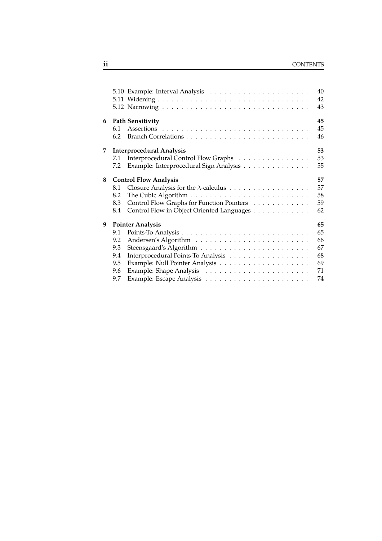|   |     |                                           | 40<br>42<br>43 |
|---|-----|-------------------------------------------|----------------|
| 6 |     | <b>Path Sensitivity</b>                   | 45             |
|   | 6.1 |                                           | 45             |
|   | 6.2 |                                           | 46             |
| 7 |     | <b>Interprocedural Analysis</b>           | 53             |
|   | 7.1 | Interprocedural Control Flow Graphs       | 53             |
|   | 7.2 | Example: Interprocedural Sign Analysis    | 55             |
| 8 |     | <b>Control Flow Analysis</b>              | 57             |
|   | 8.1 |                                           | 57             |
|   | 8.2 |                                           | 58             |
|   | 8.3 | Control Flow Graphs for Function Pointers | 59             |
|   | 8.4 | Control Flow in Object Oriented Languages | 62             |
| 9 |     | <b>Pointer Analysis</b>                   | 65             |
|   | 9.1 |                                           | 65             |
|   | 9.2 |                                           | 66             |
|   | 9.3 |                                           | 67             |
|   | 9.4 | Interprocedural Points-To Analysis        | 68             |
|   | 9.5 |                                           | 69             |
|   | 9.6 |                                           | 71             |
|   | 9.7 |                                           | 74             |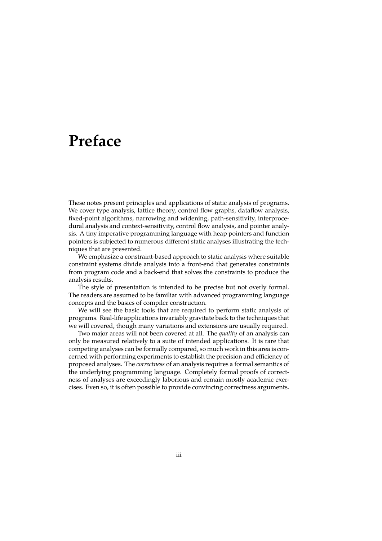## **Preface**

These notes present principles and applications of static analysis of programs. We cover type analysis, lattice theory, control flow graphs, dataflow analysis, fixed-point algorithms, narrowing and widening, path-sensitivity, interprocedural analysis and context-sensitivity, control flow analysis, and pointer analysis. A tiny imperative programming language with heap pointers and function pointers is subjected to numerous different static analyses illustrating the techniques that are presented.

We emphasize a constraint-based approach to static analysis where suitable constraint systems divide analysis into a front-end that generates constraints from program code and a back-end that solves the constraints to produce the analysis results.

The style of presentation is intended to be precise but not overly formal. The readers are assumed to be familiar with advanced programming language concepts and the basics of compiler construction.

We will see the basic tools that are required to perform static analysis of programs. Real-life applications invariably gravitate back to the techniques that we will covered, though many variations and extensions are usually required.

Two major areas will not been covered at all. The *quality* of an analysis can only be measured relatively to a suite of intended applications. It is rare that competing analyses can be formally compared, so much work in this area is concerned with performing experiments to establish the precision and efficiency of proposed analyses. The *correctness* of an analysis requires a formal semantics of the underlying programming language. Completely formal proofs of correctness of analyses are exceedingly laborious and remain mostly academic exercises. Even so, it is often possible to provide convincing correctness arguments.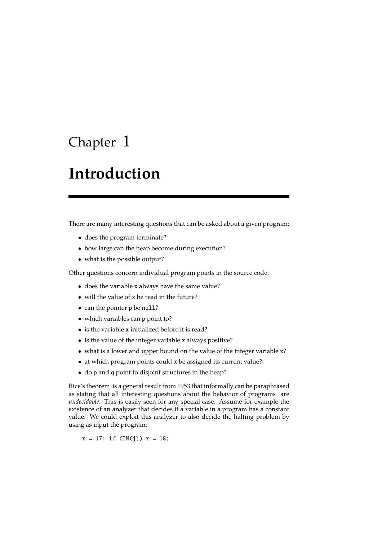## Chapter 1

## **Introduction**

There are many interesting questions that can be asked about a given program:

- does the program terminate?
- how large can the heap become during execution?
- what is the possible output?

Other questions concern individual program points in the source code:

- does the variable x always have the same value?
- will the value of x be read in the future?
- can the pointer p be null?
- which variables can p point to?
- is the variable x initialized before it is read?
- is the value of the integer variable x always positive?
- what is a lower and upper bound on the value of the integer variable x?
- at which program points could x be assigned its current value?
- do p and q point to disjoint structures in the heap?

Rice's theorem is a general result from 1953 that informally can be paraphrased as stating that all interesting questions about the behavior of programs are *undecidable*. This is easily seen for any special case. Assume for example the existence of an analyzer that decides if a variable in a program has a constant value. We could exploit this analyzer to also decide the halting problem by using as input the program:

 $x = 17$ ; if  $(TM(j))$   $x = 18$ ;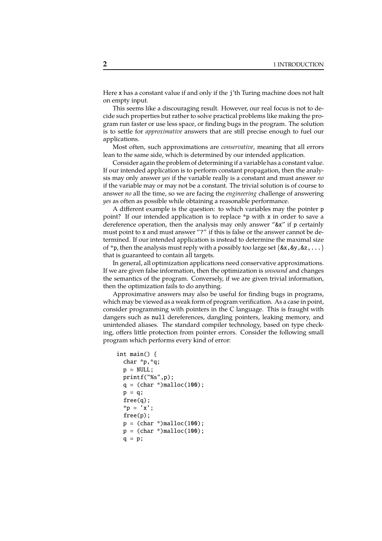Here x has a constant value if and only if the j'th Turing machine does not halt on empty input.

This seems like a discouraging result. However, our real focus is not to decide such properties but rather to solve practical problems like making the program run faster or use less space, or finding bugs in the program. The solution is to settle for *approximative* answers that are still precise enough to fuel our applications.

Most often, such approximations are *conservative*, meaning that all errors lean to the same side, which is determined by our intended application.

Consider again the problem of determining if a variable has a constant value. If our intended application is to perform constant propagation, then the analysis may only answer *yes* if the variable really is a constant and must answer *no* if the variable may or may not be a constant. The trivial solution is of course to answer *no* all the time, so we are facing the *engineering* challenge of answering *yes* as often as possible while obtaining a reasonable performance.

A different example is the question: to which variables may the pointer p point? If our intended application is to replace \*p with x in order to save a dereference operation, then the analysis may only answer "&x" if p certainly must point to x and must answer "?" if this is false or the answer cannot be determined. If our intended application is instead to determine the maximal size of \*p, then the analysis must reply with a possibly too large set  $\{&x,&y,&z,\ldots\}$ that is guaranteed to contain all targets.

In general, all optimization applications need conservative approximations. If we are given false information, then the optimization is *unsound* and changes the semantics of the program. Conversely, if we are given trivial information, then the optimization fails to do anything.

Approximative answers may also be useful for finding bugs in programs, which may be viewed as a weak form of program verification. As a case in point, consider programming with pointers in the C language. This is fraught with dangers such as null dereferences, dangling pointers, leaking memory, and unintended aliases. The standard compiler technology, based on type checking, offers little protection from pointer errors. Consider the following small program which performs every kind of error:

```
int main() {
  char *p,*q;
  p = NULL;printf("%s",p);
  q = (char * )malloc(100);p = q;free(q);
  *p = 'x';
  free(p);
  p = (char * )malloc(100);p = (char * )malloc(100);q = p;
```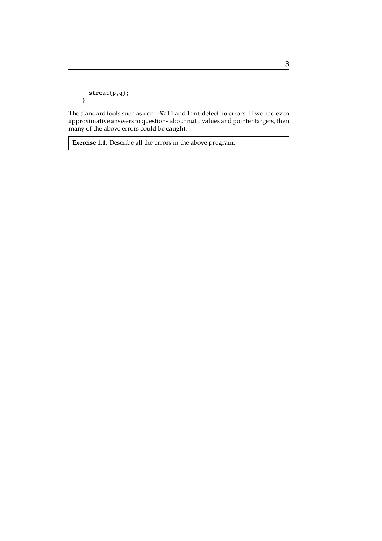```
strcat(p,q);
}
```
The standard tools such as gcc -Wall and lint detect no errors. If we had even approximative answers to questions about null values and pointer targets, then many of the above errors could be caught.

**Exercise 1.1**: Describe all the errors in the above program.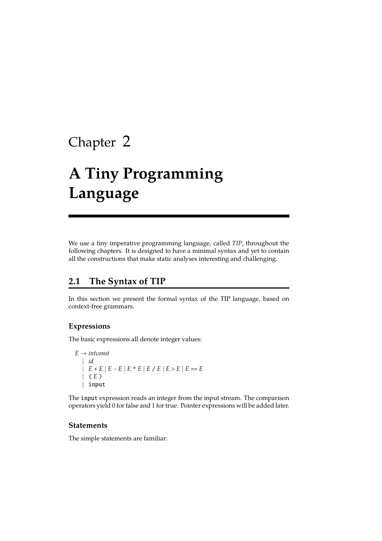## Chapter 2

# **A Tiny Programming Language**

We use a tiny imperative programming language, called *TIP*, throughout the following chapters. It is designed to have a minimal syntax and yet to contain all the constructions that make static analyses interesting and challenging.

#### **2.1 The Syntax of TIP**

In this section we present the formal syntax of the TIP language, based on context-free grammars.

#### **Expressions**

The basic expressions all denote integer values:

```
E → intconst
  | id
   E + E | E - E | E * E | E / E | E > E | E = E| ( E )
  | input
```
The input expression reads an integer from the input stream. The comparison operators yield 0 for false and 1 for true. Pointer expressions will be added later.

#### **Statements**

The simple statements are familiar: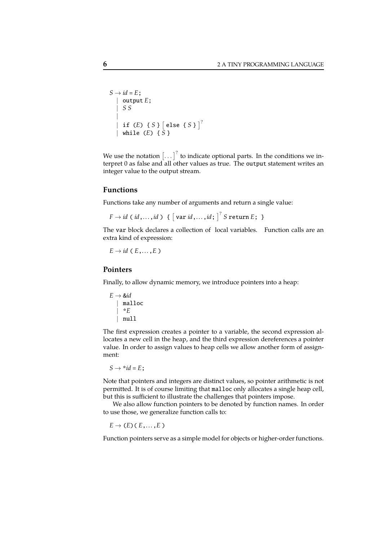```
S \rightarrow id = E;
      | output E;
            | S S
       \left| \begin{array}{c} \texttt{if (E) { } { }{S} \} \end{array} \right. \left| \begin{array}{c} \texttt{else { } { }{ }{S} \end{array} \right. \right\} \big| ^{?}| while (E) \{\bar{S}\}\
```
We use the notation  $\left[ \ldots \right]^{?}$  to indicate optional parts. In the conditions we interpret 0 as false and all other values as true. The output statement writes an integer value to the output stream.

#### **Functions**

Functions take any number of arguments and return a single value:

```
F \rightarrow id ( id ,...,id ) { \left[\right. \text{var} \left. id, \ldots, id \right. ; \left. \right. \right]^{?} S return E ; \left. \right\}
```
The var block declares a collection of local variables. Function calls are an extra kind of expression:

 $E \rightarrow id$  ( $E$ ,...*,E*)

#### **Pointers**

Finally, to allow dynamic memory, we introduce pointers into a heap:

 $E \rightarrow \mathcal{E}id$ | malloc | \**E* | null

The first expression creates a pointer to a variable, the second expression allocates a new cell in the heap, and the third expression dereferences a pointer value. In order to assign values to heap cells we allow another form of assignment:

 $S \rightarrow *id = E$ ;

Note that pointers and integers are distinct values, so pointer arithmetic is not permitted. It is of course limiting that malloc only allocates a single heap cell, but this is sufficient to illustrate the challenges that pointers impose.

We also allow function pointers to be denoted by function names. In order to use those, we generalize function calls to:

 $E \rightarrow (E) (E, \ldots, E)$ 

Function pointers serve as a simple model for objects or higher-order functions.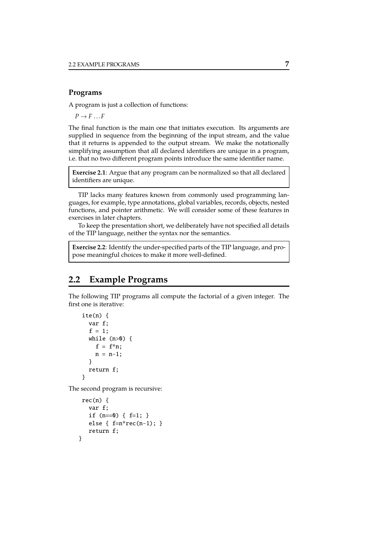#### **Programs**

A program is just a collection of functions:

 $P \rightarrow F \dots F$ 

The final function is the main one that initiates execution. Its arguments are supplied in sequence from the beginning of the input stream, and the value that it returns is appended to the output stream. We make the notationally simplifying assumption that all declared identifiers are unique in a program, i.e. that no two different program points introduce the same identifier name.

**Exercise 2.1**: Argue that any program can be normalized so that all declared identifiers are unique.

TIP lacks many features known from commonly used programming languages, for example, type annotations, global variables, records, objects, nested functions, and pointer arithmetic. We will consider some of these features in exercises in later chapters.

To keep the presentation short, we deliberately have not specified all details of the TIP language, neither the syntax nor the semantics.

**Exercise 2.2**: Identify the under-specified parts of the TIP language, and propose meaningful choices to make it more well-defined.

#### **2.2 Example Programs**

The following TIP programs all compute the factorial of a given integer. The first one is iterative:

```
ite(n) {
 var f;
  f = 1;while (n>0) {
    f = f^*n:
    n = n-1;}
  return f;
}
```
The second program is recursive:

```
rec(n) {
  var f;
  if (n==0) { f=1; }
  else { f=n*rec(n-1); }
  return f;
}
```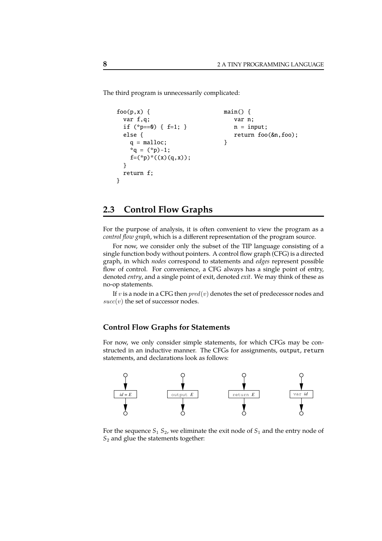The third program is unnecessarily complicated:

```
foo(p,x) { main() {
 var f,q; var n;
 if (*p==0) {f=1; } m = input;else { return foo(\& n, foo);q = \text{malloc};*q = (*p)-1;f=(*p)*(x)(q,x));}
 return f;
}
```
#### **2.3 Control Flow Graphs**

For the purpose of analysis, it is often convenient to view the program as a *control flow graph*, which is a different representation of the program source.

For now, we consider only the subset of the TIP language consisting of a single function body without pointers. A control flow graph (CFG) is a directed graph, in which *nodes* correspond to statements and *edges* represent possible flow of control. For convenience, a CFG always has a single point of entry, denoted *entry*, and a single point of exit, denoted *exit*. We may think of these as no-op statements.

If v is a node in a CFG then  $pred(v)$  denotes the set of predecessor nodes and  $succ(v)$  the set of successor nodes.

#### **Control Flow Graphs for Statements**

For now, we only consider simple statements, for which CFGs may be constructed in an inductive manner. The CFGs for assignments, output, return statements, and declarations look as follows:



For the sequence *S*<sup>1</sup> *S*2, we eliminate the exit node of *S*<sup>1</sup> and the entry node of *S*<sup>2</sup> and glue the statements together: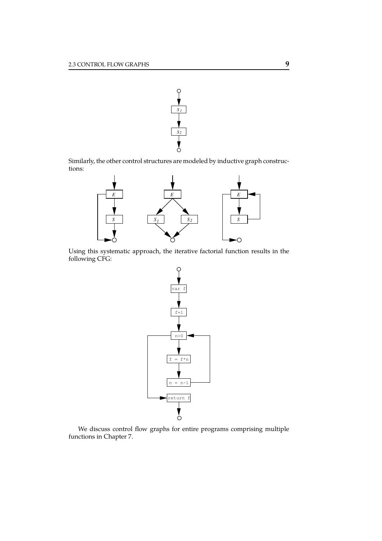

Similarly, the other control structures are modeled by inductive graph constructions:



Using this systematic approach, the iterative factorial function results in the following CFG:



We discuss control flow graphs for entire programs comprising multiple functions in Chapter 7.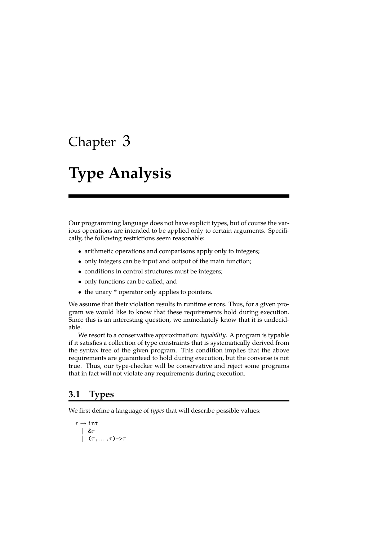## Chapter 3

## **Type Analysis**

Our programming language does not have explicit types, but of course the various operations are intended to be applied only to certain arguments. Specifically, the following restrictions seem reasonable:

- arithmetic operations and comparisons apply only to integers;
- only integers can be input and output of the main function;
- conditions in control structures must be integers;
- only functions can be called; and
- the unary  $*$  operator only applies to pointers.

We assume that their violation results in runtime errors. Thus, for a given program we would like to know that these requirements hold during execution. Since this is an interesting question, we immediately know that it is undecidable.

We resort to a conservative approximation: *typability*. A program is typable if it satisfies a collection of type constraints that is systematically derived from the syntax tree of the given program. This condition implies that the above requirements are guaranteed to hold during execution, but the converse is not true. Thus, our type-checker will be conservative and reject some programs that in fact will not violate any requirements during execution.

#### **3.1 Types**

We first define a language of *types* that will describe possible values:

 $\tau \rightarrow \texttt{int}$ |  $&\tau$ | (τ,...,τ)->τ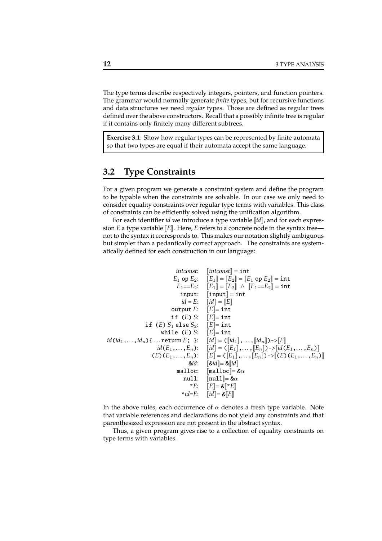The type terms describe respectively integers, pointers, and function pointers. The grammar would normally generate *finite* types, but for recursive functions and data structures we need *regular* types. Those are defined as regular trees defined over the above constructors. Recall that a possibly infinite tree is regular if it contains only finitely many different subtrees.

**Exercise 3.1**: Show how regular types can be represented by finite automata so that two types are equal if their automata accept the same language.

#### **3.2 Type Constraints**

For a given program we generate a constraint system and define the program to be typable when the constraints are solvable. In our case we only need to consider equality constraints over regular type terms with variables. This class of constraints can be efficiently solved using the unification algorithm.

For each identifier *id* we introduce a type variable [*id*], and for each expression *E* a type variable [*E*]. Here, *E* refers to a concrete node in the syntax tree not to the syntax it corresponds to. This makes our notation slightly ambiguous but simpler than a pedantically correct approach. The constraints are systematically defined for each construction in our language:

$$
\begin{array}{ll}\nintconst: & [intconst] = \text{int} \\
E_1 \text{ op } E_2: & [E_1] = [E_2] = [E_1 \text{ op } E_2] = \text{int} \\
E_1 == E_2: & [E_1] = [E_2] \land [E_1 == E_2] = \text{int} \\
\text{input}: & [input] = \text{int} \\
id = E: & [id] = [E] \\
\text{output } E: & [E] = \text{int} \\
\text{int } (E) S: & [E] = \text{int} \\
\text{int } (E) S_1 \text{ else } S_2: & [E] = \text{int} \\
\text{while } (E) S: & [E] = \text{int} \\
\text{while } (E) S: & [E] = \text{int} \\
\text{while } (E) S: & [E] = \text{int} \\
\text{if } (E_1, \ldots, E_n): & [id] = ([id_1], \ldots, [id_n]) -> [[id] ->[[id] ->[[id] ->[[id] ->[[id] ->[[id] ->[[id]] ->[[id] ->[[id]] ->[[id] -&[[id]] -&[[id]] -&[[id]] -&[[id]] -&[[id]] -&[[id]] -&[[id]] -&&[[id]] -&[[id]] -&&[[id]] -&[[id]] -&&[[id]] -&[[id]] -&[[id]] -&[[id]] -&[[id]] -&[[id]] -&[[id]] -&[[id]] -&[[id]] -&[[id]] -&[[id]] -&[[id]] -&[[id]] -&[[id]] -&[[id]] -&[[id]] -&[[id]] -&[[id]] -&[[id]] -&[[id]] -&[[id]] -&[[id]] -&[[id]] -&[[id]] -&[[id]] -&[[id]] -&[[id]] -&[[id]] -&[[id]] -&[[id]] -&[[id]] -&[[id]] -&[[id]] -&[[id]] -&[[id]] -&[[id]] -&[[id]] -&[[id]] -&[[id]] -&
$$

In the above rules, each occurrence of  $\alpha$  denotes a fresh type variable. Note that variable references and declarations do not yield any constraints and that parenthesized expression are not present in the abstract syntax.

Thus, a given program gives rise to a collection of equality constraints on type terms with variables.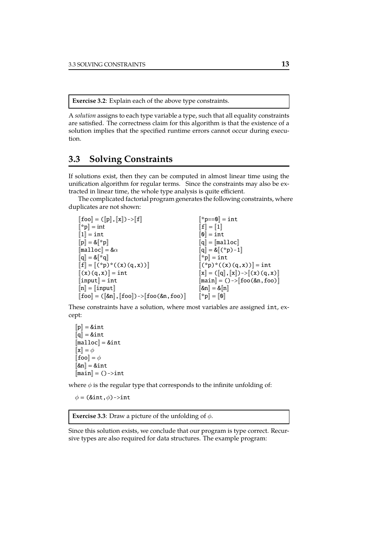**Exercise 3.2**: Explain each of the above type constraints.

A *solution* assigns to each type variable a type, such that all equality constraints are satisfied. The correctness claim for this algorithm is that the existence of a solution implies that the specified runtime errors cannot occur during execution.

#### **3.3 Solving Constraints**

If solutions exist, then they can be computed in almost linear time using the unification algorithm for regular terms. Since the constraints may also be extracted in linear time, the whole type analysis is quite efficient.

The complicated factorial program generates the following constraints, where duplicates are not shown:

| $\llbracket \texttt{foo} \rrbracket = \left( \llbracket \texttt{p} \rrbracket, \llbracket \texttt{x} \rrbracket \right) - > \llbracket \texttt{f} \rrbracket$ | $\Vert * \text{p==0} \Vert = \text{int}$                                                                            |
|---------------------------------------------------------------------------------------------------------------------------------------------------------------|---------------------------------------------------------------------------------------------------------------------|
| $\ \cdot\ $ = int                                                                                                                                             | $\llbracket f \rrbracket = \llbracket 1 \rrbracket$                                                                 |
| $\llbracket 1 \rrbracket = \text{int}$                                                                                                                        | $\llbracket \mathbf{0} \rrbracket = \text{int}$                                                                     |
| $\llbracket p \rrbracket = \& \llbracket *p \rrbracket$                                                                                                       | $\llbracket q \rrbracket = \llbracket \text{malloc} \rrbracket$                                                     |
| $\llbracket \texttt{malloc} \rrbracket = \& \alpha$                                                                                                           | $\ q\  = \& \ (Tp) - 1\ $                                                                                           |
| $\llbracket q \rrbracket = \& \llbracket *q \rrbracket$                                                                                                       | $\ \cdot\mathbf{p}\  = \text{int}$                                                                                  |
| $[[f] = [( *p) * ((x) (q, x))]$                                                                                                                               | $\left[$ (*p)*((x)(q,x)) $\right]$ = int                                                                            |
| $[[(x)(q,x)] = int$                                                                                                                                           | $\llbracket x \rrbracket = (\llbracket q \rrbracket, \llbracket x \rrbracket) - > \llbracket (x) (q, x) \rrbracket$ |
| $\ \text{input}\  = \text{int}$                                                                                                                               | $[\text{main}] = () -> [\text{foo}($ &n,foo) $]$                                                                    |
| $\lbrack\! \lbrack n \rbrack\! \rbrack = \lbrack\! \lbrack \lbrack \rbrack nput \rbrack\! \rbrack$                                                            | $\ \&n\  = \&\ n\ $                                                                                                 |
| $[\![ \text{foo} ]\!] = ([\& \text{nn} ]\!]$ , $[\![ \text{foo} ]\!]$ ) -> $[\![ \text{foo} (\& \text{nn} , \text{foo}) ]\!]$                                 | $\llbracket \cdot \mathbf{p} \rrbracket = \llbracket \mathbf{0} \rrbracket$                                         |

These constraints have a solution, where most variables are assigned int, except:

 $\llbracket p \rrbracket = 8$ int  $\llbracket q \rrbracket = 8$ int  $[\text{malloc}] = 8$ int  $\llbracket \mathbf{x} \rrbracket = \phi$  $[\![$ foo $]\!] = \phi$  $\llbracket$ &n $\rrbracket$  = &int  $[\text{main}] = () \rightarrow \text{int}$ 

where  $\phi$  is the regular type that corresponds to the infinite unfolding of:

 $\phi = (\&\text{int}, \phi) - \sin t$ 

**Exercise 3.3:** Draw a picture of the unfolding of  $\phi$ .

Since this solution exists, we conclude that our program is type correct. Recursive types are also required for data structures. The example program: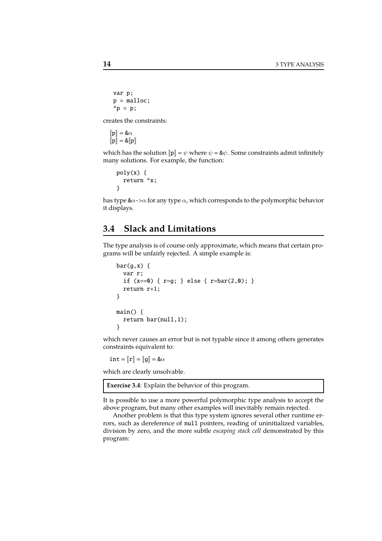var p;  $p =$  malloc;  $***p** = **p**;$ 

creates the constraints:

 $[\![\mathbf{p}]\!] = \&\alpha$  $[\![p]\!] = \&[\![p]\!]$ 

which has the solution  $[\![\mathbf{p}]\!] = \psi$  where  $\psi = \&\psi$ . Some constraints admit infinitely many solutions. For example, the function:

```
poly(x) {
  return *x;
}
```
has type  $\&\alpha$ -> $\alpha$  for any type  $\alpha$ , which corresponds to the polymorphic behavior it displays.

#### **3.4 Slack and Limitations**

The type analysis is of course only approximate, which means that certain programs will be unfairly rejected. A simple example is:

```
bar(g,x) {
  var r;
  if (x == 0) { r = g; } else { r = bar(2, 0); }
  return r+1;
}
main() {
  return bar(null,1);
}
```
which never causes an error but is not typable since it among others generates constraints equivalent to:

int =  $\|\mathbf{r}\|$  =  $\|g\|$  = & $\alpha$ 

which are clearly unsolvable.

**Exercise 3.4**: Explain the behavior of this program.

It is possible to use a more powerful polymorphic type analysis to accept the above program, but many other examples will inevitably remain rejected.

Another problem is that this type system ignores several other runtime errors, such as dereference of null pointers, reading of uninitialized variables, division by zero, and the more subtle *escaping stack cell* demonstrated by this program: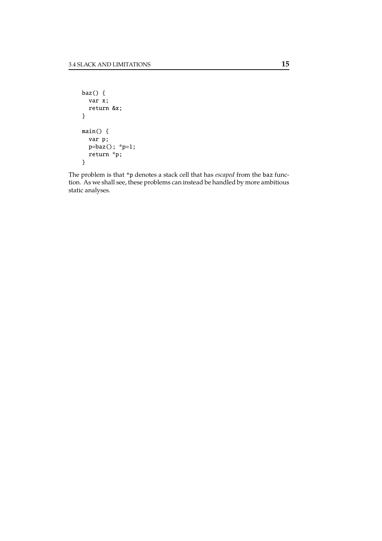```
baz() {
  var x;
  return &x;
}
main() {
  var p;
  p=baz(); *p=1;
  return *p;
}
```
The problem is that \*p denotes a stack cell that has *escaped* from the baz function. As we shall see, these problems can instead be handled by more ambitious static analyses.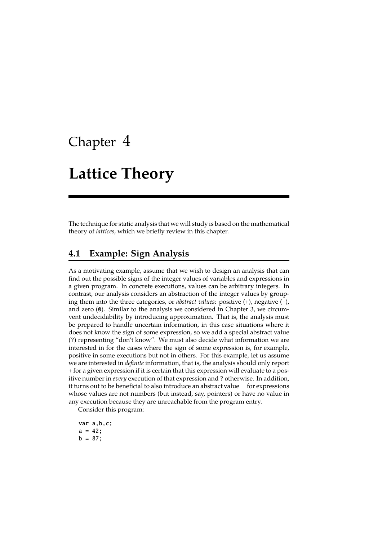### Chapter 4

## **Lattice Theory**

The technique for static analysis that we will study is based on the mathematical theory of *lattices*, which we briefly review in this chapter.

#### **4.1 Example: Sign Analysis**

As a motivating example, assume that we wish to design an analysis that can find out the possible signs of the integer values of variables and expressions in a given program. In concrete executions, values can be arbitrary integers. In contrast, our analysis considers an abstraction of the integer values by grouping them into the three categories, or *abstract values*: positive (+), negative (-), and zero (0). Similar to the analysis we considered in Chapter 3, we circumvent undecidability by introducing approximation. That is, the analysis must be prepared to handle uncertain information, in this case situations where it does not know the sign of some expression, so we add a special abstract value (?) representing "don't know". We must also decide what information we are interested in for the cases where the sign of some expression is, for example, positive in some executions but not in others. For this example, let us assume we are interested in *definite* information, that is, the analysis should only report + for a given expression if it is certain that this expression will evaluate to a positive number in *every* execution of that expression and ? otherwise. In addition, it turns out to be beneficial to also introduce an abstract value ⊥ for expressions whose values are not numbers (but instead, say, pointers) or have no value in any execution because they are unreachable from the program entry.

Consider this program:

var a,b,c;  $a = 42$ ;  $b = 87$ ;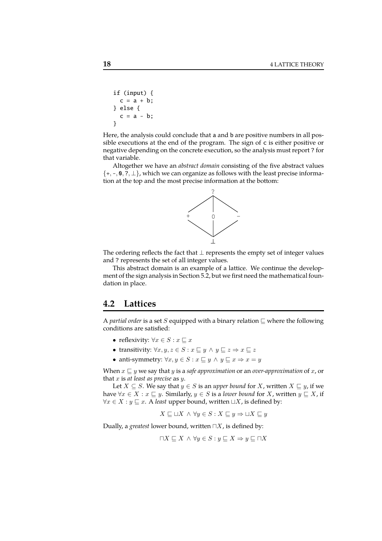```
if (input) {
 c = a + b;} else {
 c = a - b;}
```
Here, the analysis could conclude that a and b are positive numbers in all possible executions at the end of the program. The sign of c is either positive or negative depending on the concrete execution, so the analysis must report ? for that variable.

Altogether we have an *abstract domain* consisting of the five abstract values  $\{+, -, 0, ?, \perp\}$ , which we can organize as follows with the least precise information at the top and the most precise information at the bottom:



The ordering reflects the fact that  $\perp$  represents the empty set of integer values and ? represents the set of all integer values.

This abstract domain is an example of a lattice. We continue the development of the sign analysis in Section 5.2, but we first need the mathematical foundation in place.

#### **4.2 Lattices**

A *partial order* is a set S equipped with a binary relation ⊑ where the following conditions are satisfied:

- reflexivity:  $\forall x \in S : x \sqsubseteq x$
- transitivity:  $\forall x, y, z \in S : x \sqsubseteq y \land y \sqsubseteq z \Rightarrow x \sqsubseteq z$
- anti-symmetry:  $\forall x, y \in S : x \sqsubseteq y \land y \sqsubseteq x \Rightarrow x = y$

When  $x \sqsubseteq y$  we say that y is a *safe approximation* or an *over-approximation* of x, or that x is *at least as precise* as y.

Let *X* ⊆ *S*. We say that *y* ∈ *S* is an *upper bound* for *X*, written *X* ⊑ *y*, if we have  $\forall x \in X : x \sqsubseteq y$ . Similarly,  $y \in S$  is a *lower bound* for X, written  $y \sqsubseteq X$ , if  $\forall x \in X : y \sqsubseteq x$ . A *least* upper bound, written  $\sqcup X$ , is defined by:

 $X \sqsubseteq \sqcup X \wedge \forall y \in S : X \sqsubseteq y \Rightarrow \sqcup X \sqsubseteq y$ 

Dually, a *greatest* lower bound, written ⊓X, is defined by:

$$
\sqcap X \sqsubseteq X \ \land \ \forall y \in S : y \sqsubseteq X \Rightarrow y \sqsubseteq \sqcap X
$$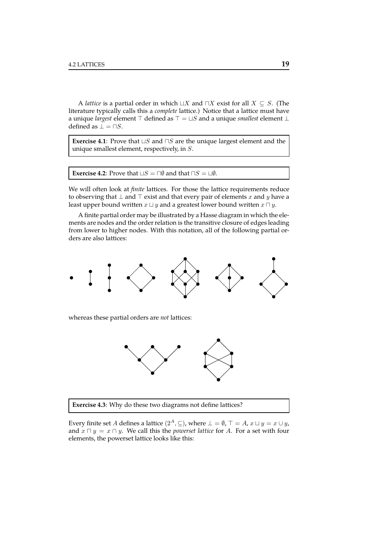A *lattice* is a partial order in which  $\sqcup X$  and  $\sqcap X$  exist for all  $X \subseteq S$ . (The literature typically calls this a *complete* lattice.) Notice that a lattice must have a unique *largest* element ⊤ defined as ⊤ = ⊔S and a unique *smallest* element ⊥ defined as  $\bot = \sqcap S$ .

**Exercise 4.1**: Prove that ⊔S and ⊓S are the unique largest element and the unique smallest element, respectively, in S.

```
Exercise 4.2: Prove that \sqcup S = \sqcap \emptyset and that \sqcap S = \sqcup \emptyset.
```
We will often look at *finite* lattices. For those the lattice requirements reduce to observing that  $⊥$  and  $⊤$  exist and that every pair of elements  $x$  and  $y$  have a least upper bound written  $x \sqcup y$  and a greatest lower bound written  $x \sqcap y$ .

A finite partial order may be illustrated by a Hasse diagram in which the elements are nodes and the order relation is the transitive closure of edges leading from lower to higher nodes. With this notation, all of the following partial orders are also lattices:



whereas these partial orders are *not* lattices:



**Exercise 4.3**: Why do these two diagrams not define lattices?

Every finite set *A* defines a lattice  $(2^A, \subseteq)$ , where  $\bot = \emptyset$ ,  $\top = A$ ,  $x \sqcup y = x \cup y$ , and  $x \sqcap y = x \cap y$ . We call this the *powerset lattice* for A. For a set with four elements, the powerset lattice looks like this: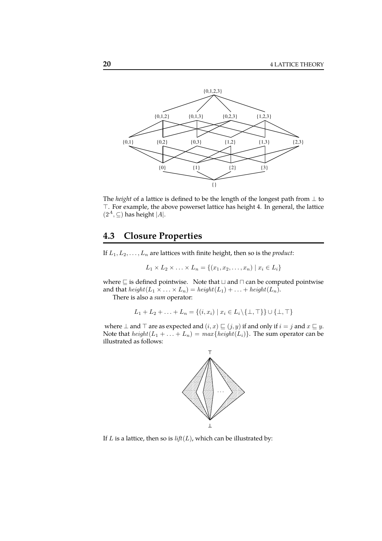

The *height* of a lattice is defined to be the length of the longest path from ⊥ to ⊤. For example, the above powerset lattice has height 4. In general, the lattice  $(2^A, \subseteq)$  has height  $|A|$ .

#### **4.3 Closure Properties**

If  $L_1, L_2, \ldots, L_n$  are lattices with finite height, then so is the *product*:

$$
L_1 \times L_2 \times \ldots \times L_n = \{(x_1, x_2, \ldots, x_n) \mid x_i \in L_i\}
$$

where ⊑ is defined pointwise. Note that ⊔ and ⊓ can be computed pointwise and that  $height(L_1 \times ... \times L_n) = height(L_1) + ... + height(L_n).$ 

There is also a *sum* operator:

 $L_1 + L_2 + ... + L_n = \{(i, x_i) | x_i \in L_i \setminus \{\perp, \top\}\} \cup \{\perp, \top\}$ 

where  $\bot$  and  $\top$  are as expected and  $(i, x) \sqsubseteq (j, y)$  if and only if  $i = j$  and  $x \sqsubseteq y$ . Note that  $height(L_1 + ... + L_n) = max{height(L_i)}$ . The sum operator can be illustrated as follows:



If  $L$  is a lattice, then so is  $lift(L)$ , which can be illustrated by: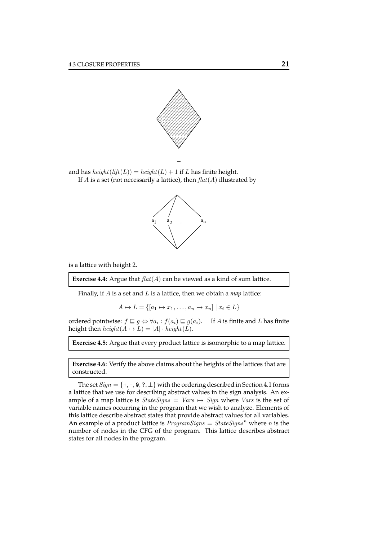

and has  $height(lift(L)) = height(L) + 1$  if L has finite height. If A is a set (not necessarily a lattice), then  $flat(A)$  illustrated by



is a lattice with height 2.

**Exercise 4.4**: Argue that  $flat(A)$  can be viewed as a kind of sum lattice.

Finally, if A is a set and L is a lattice, then we obtain a *map* lattice:

 $A \mapsto L = \{ [a_1 \mapsto x_1, \ldots, a_n \mapsto x_n] \mid x_i \in L \}$ 

ordered pointwise:  $f\sqsubseteq g \Leftrightarrow \forall a_i : f(a_i) \sqsubseteq g(a_i).$  If  $A$  is finite and  $L$  has finite height then  $height(A \mapsto L) = |A| \cdot height(L)$ .

**Exercise 4.5**: Argue that every product lattice is isomorphic to a map lattice.

**Exercise 4.6**: Verify the above claims about the heights of the lattices that are constructed.

The set  $Sign = \{+, -, 0, ?, \bot\}$  with the ordering described in Section 4.1 forms a lattice that we use for describing abstract values in the sign analysis. An example of a map lattice is  $StateSigns = Vars \rightarrow Sign$  where Vars is the set of variable names occurring in the program that we wish to analyze. Elements of this lattice describe abstract states that provide abstract values for all variables. An example of a product lattice is  $ProgramSigns = StateSigns<sup>n</sup>$  where n is the number of nodes in the CFG of the program. This lattice describes abstract states for all nodes in the program.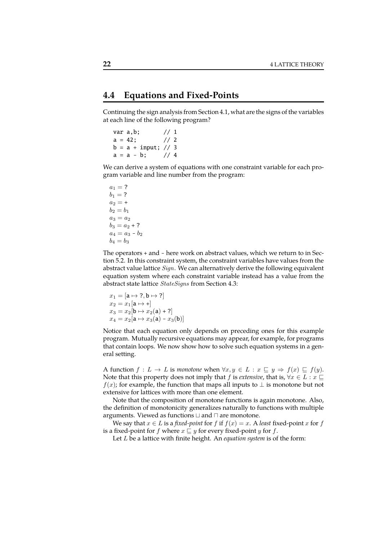#### **4.4 Equations and Fixed-Points**

Continuing the sign analysis from Section 4.1, what are the signs of the variables at each line of the following program?

var a,b;  $// 1$ <br>a = 42;  $// 2$  $a = 42$ :  $b = a + input$ ; // 3  $a = a - b$ ; // 4

We can derive a system of equations with one constraint variable for each program variable and line number from the program:

 $a_1 = ?$  $b_1 = ?$  $a_2 = +$  $b_2 = b_1$  $a_3 = a_2$  $b_3 = a_2 + ?$  $a_4 = a_3 - b_2$  $b_4 = b_3$ 

The operators + and - here work on abstract values, which we return to in Section 5.2. In this constraint system, the constraint variables have values from the abstract value lattice Sign. We can alternatively derive the following equivalent equation system where each constraint variable instead has a value from the abstract state lattice StateSigns from Section 4.3:

$$
x_1 = [\mathbf{a} \mapsto ?, \mathbf{b} \mapsto ?]
$$
  
\n
$$
x_2 = x_1[\mathbf{a} \mapsto +]
$$
  
\n
$$
x_3 = x_2[\mathbf{b} \mapsto x_2(\mathbf{a}) + ?]
$$
  
\n
$$
x_4 = x_2[\mathbf{a} \mapsto x_3(\mathbf{a}) - x_3(\mathbf{b})]
$$

Notice that each equation only depends on preceding ones for this example program. Mutually recursive equations may appear, for example, for programs that contain loops. We now show how to solve such equation systems in a general setting.

A function  $f: L \to L$  is *monotone* when  $\forall x, y \in L : x \sqsubseteq y \Rightarrow f(x) \sqsubseteq f(y)$ . Note that this property does not imply that f is *extensive*, that is,  $\forall x \in L : x \sqsubseteq$  $f(x)$ ; for example, the function that maps all inputs to  $\perp$  is monotone but not extensive for lattices with more than one element.

Note that the composition of monotone functions is again monotone. Also, the definition of monotonicity generalizes naturally to functions with multiple arguments. Viewed as functions ⊔ and ⊓ are monotone.

We say that  $x \in L$  is a *fixed-point* for f if  $f(x) = x$ . A *least* fixed-point x for f is a fixed-point for f where  $x \sqsubseteq y$  for every fixed-point y for f.

Let L be a lattice with finite height. An *equation system* is of the form: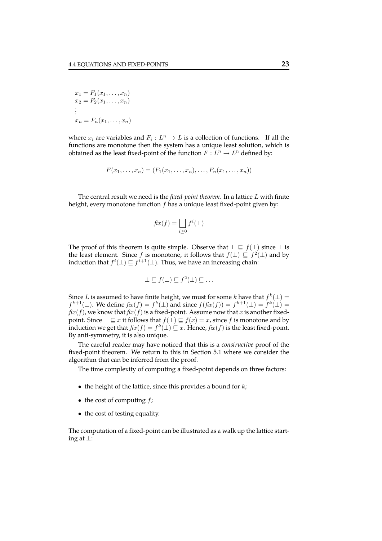$x_1 = F_1(x_1, \ldots, x_n)$  $x_2 = F_2(x_1, \ldots, x_n)$ . . .  $x_n = F_n(x_1, \ldots, x_n)$ 

where  $x_i$  are variables and  $F_i: L^n \to L$  is a collection of functions. If all the functions are monotone then the system has a unique least solution, which is obtained as the least fixed-point of the function  $F: L^n \to L^n$  defined by:

$$
F(x_1, ..., x_n) = (F_1(x_1, ..., x_n), ..., F_n(x_1, ..., x_n))
$$

The central result we need is the *fixed-point theorem*. In a lattice L with finite height, every monotone function  $f$  has a unique least fixed-point given by:

$$
fix(f) = \bigsqcup_{i \ge 0} f^i(\bot)
$$

The proof of this theorem is quite simple. Observe that  $\perp \sqsubset f(\perp)$  since  $\perp$  is the least element. Since  $f$  is monotone, it follows that  $f(\bot) \sqsubseteq f^2(\bot)$  and by induction that  $f^i(\bot) \sqsubseteq f^{i+1}(\bot).$  Thus, we have an increasing chain:

$$
\bot \sqsubseteq f(\bot) \sqsubseteq f^2(\bot) \sqsubseteq \ldots
$$

Since  $L$  is assumed to have finite height, we must for some  $k$  have that  $f^k(\bot) =$  $f^{k+1}(\perp)$ . We define  $\operatorname{fix}(f) = f^k(\perp)$  and since  $f(\operatorname{fix}(f)) = f^{k+1}(\perp) = f^k(\perp) =$  $fix(f)$ , we know that  $fix(f)$  is a fixed-point. Assume now that x is another fixedpoint. Since  $\bot \sqsubseteq x$  it follows that  $f(\bot) \sqsubseteq f(x) = x$ , since f is monotone and by induction we get that  $\mathit{fix}(f) = f^k(\bot) \sqsubseteq x$ . Hence,  $\mathit{fix}(f)$  is the least fixed-point. By anti-symmetry, it is also unique.

The careful reader may have noticed that this is a *constructive* proof of the fixed-point theorem. We return to this in Section 5.1 where we consider the algorithm that can be inferred from the proof.

The time complexity of computing a fixed-point depends on three factors:

- the height of the lattice, since this provides a bound for  $k$ ;
- the cost of computing  $f_i$
- the cost of testing equality.

The computation of a fixed-point can be illustrated as a walk up the lattice starting at ⊥: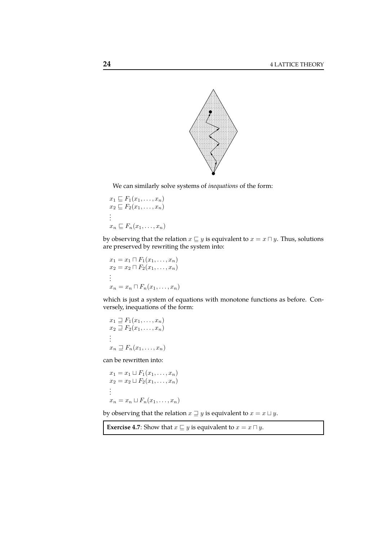

We can similarly solve systems of *inequations* of the form:

 $x_1 \sqsubseteq F_1(x_1,\ldots,x_n)$  $x_2 \sqsubseteq F_2(x_1, \ldots, x_n)$ . . .  $x_n \sqsubseteq F_n(x_1, \ldots, x_n)$ 

by observing that the relation  $x \sqsubseteq y$  is equivalent to  $x = x \sqcap y$ . Thus, solutions are preserved by rewriting the system into:

$$
x_1 = x_1 \sqcap F_1(x_1, \dots, x_n)
$$
  
\n
$$
x_2 = x_2 \sqcap F_2(x_1, \dots, x_n)
$$
  
\n
$$
\vdots
$$
  
\n
$$
x_n = x_n \sqcap F_n(x_1, \dots, x_n)
$$

which is just a system of equations with monotone functions as before. Conversely, inequations of the form:

$$
x_1 \sqsupseteq F_1(x_1, \ldots, x_n)
$$
  
\n
$$
x_2 \sqsupseteq F_2(x_1, \ldots, x_n)
$$
  
\n
$$
\vdots
$$
  
\n
$$
x_n \sqsupseteq F_n(x_1, \ldots, x_n)
$$

can be rewritten into:

$$
x_1 = x_1 \sqcup F_1(x_1, \dots, x_n)
$$
  
\n
$$
x_2 = x_2 \sqcup F_2(x_1, \dots, x_n)
$$
  
\n
$$
\vdots
$$
  
\n
$$
x_n = x_n \sqcup F_n(x_1, \dots, x_n)
$$

by observing that the relation  $x \sqsupseteq y$  is equivalent to  $x = x \sqcup y$ .

**Exercise 4.7**: Show that  $x \subseteq y$  is equivalent to  $x = x \sqcap y$ .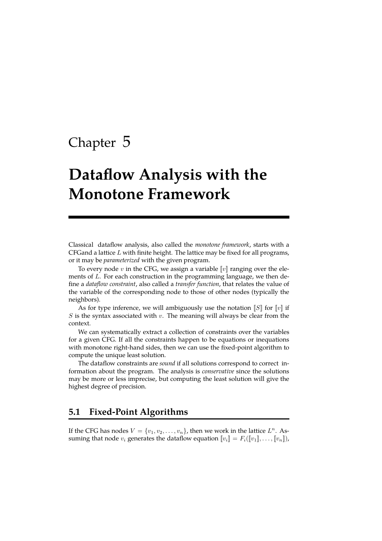### Chapter 5

## **Dataflow Analysis with the Monotone Framework**

Classical dataflow analysis, also called the *monotone framework*, starts with a CFGand a lattice  $L$  with finite height. The lattice may be fixed for all programs, or it may be *parameterized* with the given program.

To every node  $v$  in the CFG, we assign a variable  $\llbracket v \rrbracket$  ranging over the elements of  $L$ . For each construction in the programming language, we then define a *dataflow constraint*, also called a *transfer function*, that relates the value of the variable of the corresponding node to those of other nodes (typically the neighbors).

As for type inference, we will ambiguously use the notation  $\llbracket S \rrbracket$  for  $\llbracket v \rrbracket$  if  $S$  is the syntax associated with  $v$ . The meaning will always be clear from the context.

We can systematically extract a collection of constraints over the variables for a given CFG. If all the constraints happen to be equations or inequations with monotone right-hand sides, then we can use the fixed-point algorithm to compute the unique least solution.

The dataflow constraints are *sound* if all solutions correspond to correct information about the program. The analysis is *conservative* since the solutions may be more or less imprecise, but computing the least solution will give the highest degree of precision.

#### **5.1 Fixed-Point Algorithms**

If the CFG has nodes  $V = \{v_1, v_2, \ldots, v_n\}$ , then we work in the lattice  $L^n$ . Assuming that node  $v_i$  generates the dataflow equation  $[\![v_i]\!]=F_i([\![v_1]\!],\ldots,[\![v_n]\!]),$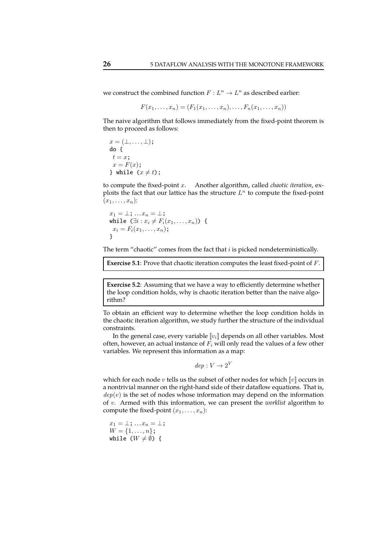we construct the combined function  $F: L^n \to L^n$  as described earlier:

 $F(x_1, \ldots, x_n) = (F_1(x_1, \ldots, x_n), \ldots, F_n(x_1, \ldots, x_n))$ 

The naive algorithm that follows immediately from the fixed-point theorem is then to proceed as follows:

 $x=(\bot,\ldots,\bot);$ do {  $t = x$ :  $x = F(x);$ } while  $(x \neq t)$ ;

to compute the fixed-point x. Another algorithm, called *chaotic iteration*, exploits the fact that our lattice has the structure  $L^n$  to compute the fixed-point  $(x_1, \ldots, x_n)$ :

 $x_1 = \perp$ ; ... $x_n = \perp$ ; while  $(\exists i : x_i \neq F_i(x_1, \ldots, x_n))$  {  $x_i = F_i(x_1, \ldots, x_n);$ }

The term "chaotic" comes from the fact that  $i$  is picked nondeterministically.

**Exercise 5.1**: Prove that chaotic iteration computes the least fixed-point of F.

**Exercise 5.2**: Assuming that we have a way to efficiently determine whether the loop condition holds, why is chaotic iteration better than the naive algorithm?

To obtain an efficient way to determine whether the loop condition holds in the chaotic iteration algorithm, we study further the structure of the individual constraints.

In the general case, every variable  $[\![v_i]\!]$  depends on all other variables. Most often, however, an actual instance of  $F_i$  will only read the values of a few other variables. We represent this information as a map:

$$
dep: V \rightarrow 2^V
$$

which for each node  $v$  tells us the subset of other nodes for which  $\llbracket v \rrbracket$  occurs in a nontrivial manner on the right-hand side of their dataflow equations. That is,  $dep(v)$  is the set of nodes whose information may depend on the information of v. Armed with this information, we can present the *worklist* algorithm to compute the fixed-point  $(x_1, \ldots, x_n)$ :

 $x_1 = \perp; \ldots x_n = \perp;$  $W = \{1, \ldots, n\};$ while  $(W \neq \emptyset)$  {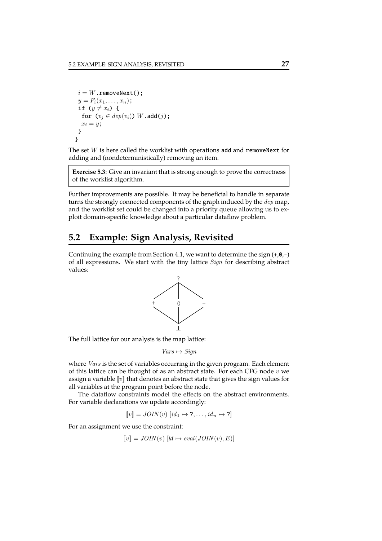$i = W$ .removeNext();  $y = F_i(x_1, \ldots, x_n);$ if  $(y \neq x_i)$  { for  $(v_i \in dep(v_i))$  W.add(j);  $x_i = y;$ } }

The set  $W$  is here called the worklist with operations add and removeNext for adding and (nondeterministically) removing an item.

**Exercise 5.3**: Give an invariant that is strong enough to prove the correctness of the worklist algorithm.

Further improvements are possible. It may be beneficial to handle in separate turns the strongly connected components of the graph induced by the dep map, and the worklist set could be changed into a priority queue allowing us to exploit domain-specific knowledge about a particular dataflow problem.

#### **5.2 Example: Sign Analysis, Revisited**

Continuing the example from Section 4.1, we want to determine the sign  $(+, 0, -)$ of all expressions. We start with the tiny lattice Sign for describing abstract values:



The full lattice for our analysis is the map lattice:

 $Vars \mapsto Sign$ 

where *Vars* is the set of variables occurring in the given program. Each element of this lattice can be thought of as an abstract state. For each CFG node  $v$  we assign a variable  $\llbracket v \rrbracket$  that denotes an abstract state that gives the sign values for all variables at the program point before the node.

The dataflow constraints model the effects on the abstract environments. For variable declarations we update accordingly:

 $\llbracket v \rrbracket = J O I N(v) \; [id_1 \mapsto ?, \ldots, id_n \mapsto ?]$ 

For an assignment we use the constraint:

$$
[\![v]\!] = J OIN(v) [id \mapsto eval(J OIN(v), E)]
$$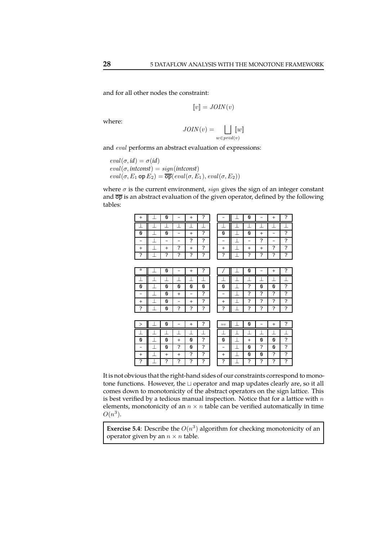and for all other nodes the constraint:

$$
[\![v]\!] = J O I N(v)
$$

where:

$$
JOIN(v) = \bigsqcup_{w \in pred(v)} [w]
$$

and eval performs an abstract evaluation of expressions:

 $eval(\sigma, id) = \sigma(id)$  $eval(\sigma, intconst) = sign(intconst)$  $eval(\sigma, E_1 \text{ op } E_2) = \overline{\text{op}}(eval(\sigma, E_1), eval(\sigma, E_2))$ 

? ⊥ 0 ? ? ?

where  $\sigma$  is the current environment, *sign* gives the sign of an integer constant and  $\overline{op}$  is an abstract evaluation of the given operator, defined by the following tables:

| $^{+}$        | 0              |                | $\overline{+}$ | ? |                | 0   |                | $^{+}$         | ? |
|---------------|----------------|----------------|----------------|---|----------------|-----|----------------|----------------|---|
|               |                |                |                |   |                |     |                |                |   |
| 0             | 0              | -              | $\overline{+}$ | ? | 0              | 0   | $\,^+$         |                | ? |
|               | -              |                | ?              | ? | -              |     | ?              |                | ? |
| $^{+}$        | $\overline{+}$ | ?              | $\,{}^+$       | ? | $\overline{+}$ | $+$ | $\overline{+}$ | ?              | ? |
| ?             | ?              | ?              | ?              | ? | ?              | ?   | ?              | ?              | ? |
|               |                |                |                |   |                |     |                |                |   |
|               |                |                |                |   |                |     |                |                |   |
| $\mathcal{R}$ | 0              |                | $\overline{+}$ | ? |                | 0   |                | $\overline{+}$ | ? |
|               |                |                |                |   |                |     |                |                |   |
| 0             | 0              | 0              | 0              | 0 | 0              | ?   | 0              | 0              | ? |
| -             | 0              | $\overline{+}$ | -              | ? | -              | ?   | ?              | ?              | ? |

|  |  |   | -- |  |   |   |  |
|--|--|---|----|--|---|---|--|
|  |  |   |    |  |   |   |  |
|  |  | - |    |  | W | W |  |
|  |  | - |    |  |   |   |  |
|  |  | - |    |  | w | - |  |
|  |  | ∽ | -  |  |   | - |  |

? ⊥ ? ? ? ?

It is not obvious that the right-hand sides of our constraints correspond to monotone functions. However, the ⊔ operator and map updates clearly are, so it all comes down to monotonicity of the abstract operators on the sign lattice. This is best verified by a tedious manual inspection. Notice that for a lattice with  $n$ elements, monotonicity of an  $n \times n$  table can be verified automatically in time  $O(n^3)$ .

**Exercise 5.4**: Describe the  $O(n^3)$  algorithm for checking monotonicity of an operator given by an  $n \times n$  table.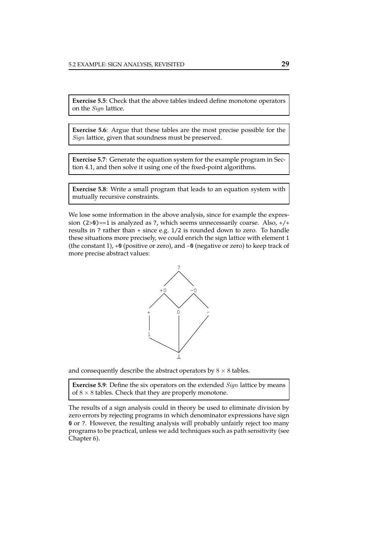**Exercise 5.5**: Check that the above tables indeed define monotone operators on the Sign lattice.

**Exercise 5.6**: Argue that these tables are the most precise possible for the Sign lattice, given that soundness must be preserved.

**Exercise 5.7**: Generate the equation system for the example program in Section 4.1, and then solve it using one of the fixed-point algorithms.

**Exercise 5.8**: Write a small program that leads to an equation system with mutually recursive constraints.

We lose some information in the above analysis, since for example the expression  $(2>0) == 1$  is analyzed as ?, which seems unnecessarily coarse. Also,  $+/+$ results in ? rather than + since e.g. 1/2 is rounded down to zero. To handle these situations more precisely, we could enrich the sign lattice with element 1 (the constant 1), +0 (positive or zero), and -0 (negative or zero) to keep track of more precise abstract values:



and consequently describe the abstract operators by  $8 \times 8$  tables.

**Exercise 5.9:** Define the six operators on the extended *Sign* lattice by means of  $8\times 8$  tables. Check that they are properly monotone.

The results of a sign analysis could in theory be used to eliminate division by zero errors by rejecting programs in which denominator expressions have sign 0 or ?. However, the resulting analysis will probably unfairly reject too many programs to be practical, unless we add techniques such as path sensitivity (see Chapter 6).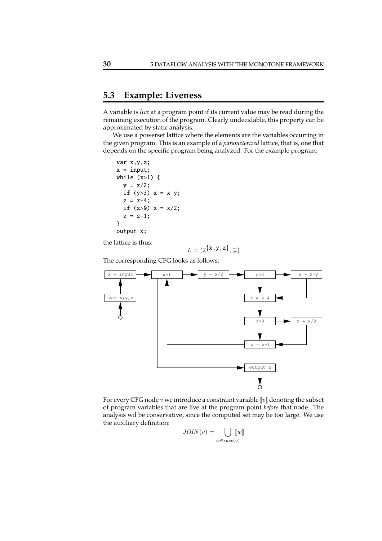#### **5.3 Example: Liveness**

A variable is *live* at a program point if its current value may be read during the remaining execution of the program. Clearly undecidable, this property can be approximated by static analysis.

We use a powerset lattice where the elements are the variables occurring in the given program. This is an example of a *parameterized* lattice, that is, one that depends on the specific program being analyzed. For the example program:

```
var x,y,z;
x = input;while (x>1) {
 y = x/2;if (y>3) x = x-y;z = x-4;if (z>0) x = x/2;
  z = z-1;}
output x;
```
the lattice is thus:

$$
L = (2^{\{x,y,z\}}, \subseteq)
$$

The corresponding CFG looks as follows:



For every CFG node v we introduce a constraint variable  $\llbracket v \rrbracket$  denoting the subset of program variables that are live at the program point *before* that node. The analysis wil be conservative, since the computed set may be too large. We use the auxiliary definition:

$$
JOIN(v) = \bigcup_{w \in succ(v)} [w]
$$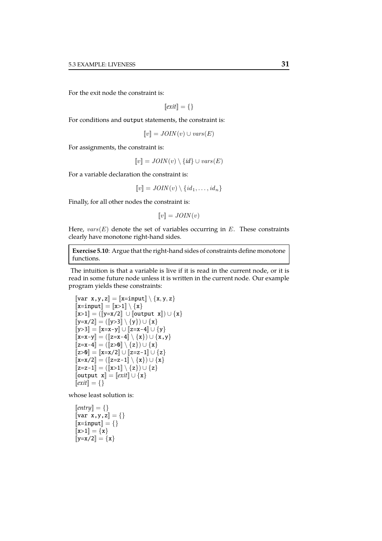For the exit node the constraint is:

 $\llbracket ext \rrbracket = \{\}$ 

For conditions and output statements, the constraint is:

$$
[\![v]\!] = J O I N(v) \cup vars(E)
$$

For assignments, the constraint is:

$$
[\![v]\!]=JOIN(v)\setminus\{id\}\cup vars(E)
$$

For a variable declaration the constraint is:

$$
[\![v]\!]=JOIN(v)\setminus\{id_1,\ldots,id_n\}
$$

Finally, for all other nodes the constraint is:

$$
[\![v]\!] = J O I N(v)
$$

Here,  $vars(E)$  denote the set of variables occurring in E. These constraints clearly have monotone right-hand sides.

**Exercise 5.10**: Argue that the right-hand sides of constraints define monotone functions.

The intuition is that a variable is live if it is read in the current node, or it is read in some future node unless it is written in the current node. Our example program yields these constraints:

```
[\![var\; x,y,z]\!] = [\![x\text{-input}]\!] \setminus \{x,y,z\}\mathbb{I}x=input\mathbb{I} = [\![x>1]\!] \setminus \{x\}\llbracket x > 1 \rrbracket = (\llbracket y = x / 2 \rrbracket \cup \llbracket output x \rrbracket) \cup \{x\}[[y=x/2] = ([y>3] \setminus \{y\}) \cup \{x\}[[y>3]] = [[x=x-y]] \cup [[z=x-4]] \cup \{y\}\llbracket x=x-y\rrbracket = (\llbracket z=x-4\rrbracket \setminus \{x\}) \cup \{x,y\}[[z=x-4]] = ([z>0] \setminus \{z\}) \cup \{x\}[[z>0]] = [[x=x/2]] \cup [[z=z-1]] \cup \{z\}\overline{\mathbf{x}}=\mathbf{x}/2\mathbf{x} = (\mathbf{x}=\mathbf{z}-1\mathbf{x})\times\mathbf{x}) \cup {x}
\overline{\mathbb{I}}z=z-1\overline{\mathbb{I}} = (\overline{\mathbb{I}}x>1\overline{\mathbb{I}} \ {z}) \overline{\cup} {z}
\llbracketoutput x\rrbracket = \llbracket exit \rrbracket \cup \{x\}\llbracket ext \rrbracket = \{\}
```
whose least solution is:

$$
\begin{aligned}\n[\textit{entry}] &= \{\} \\
[\text{var } x, y, z] &= \{\} \\
[\text{x} &= \text{input}] = \{\} \\
[x > 1] &= \{x\} \\
[y &= x/2] &= \{x\}\n\end{aligned}
$$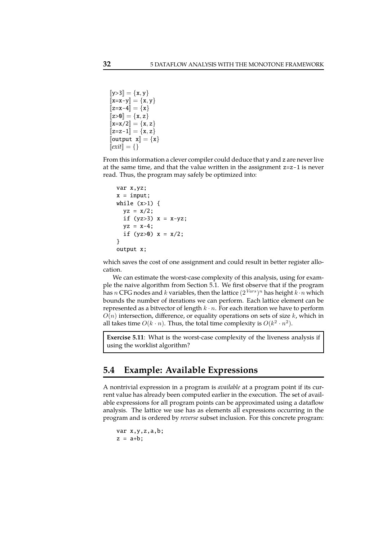$[[y>3]] = \{x, y\}$  $[\![x=x-y]\!] = \{x, y\}$  $[[z=x-4]] = \{x\}$  $[z>0] = \{x, z\}$  $[[x=x/2]] = \{x, z\}$  $[z=z-1] = \{x, z\}$ [ $\lceil \text{output } x \rceil = \{x\}$  $[exit] = \{\}$ 

From this information a clever compiler could deduce that y and z are never live at the same time, and that the value written in the assignment z=z-1 is never read. Thus, the program may safely be optimized into:

```
var x,yz;
x = input;while (x>1) {
 yz = x/2;
 if (yz>3) x = x-yz;
 yz = x-4;if (yz>0) x = x/2;
}
output x;
```
which saves the cost of one assignment and could result in better register allocation.

We can estimate the worst-case complexity of this analysis, using for example the naive algorithm from Section 5.1. We first observe that if the program has  $n$  CFG nodes and  $k$  variables, then the lattice  $(2^{\mathit{Vars}})^n$  has height  $k\cdot n$  which bounds the number of iterations we can perform. Each lattice element can be represented as a bitvector of length  $k \cdot n$ . For each iteration we have to perform  $O(n)$  intersection, difference, or equality operations on sets of size  $k$ , which in all takes time  $O(k \cdot n)$ . Thus, the total time complexity is  $O(k^2 \cdot n^2)$ .

**Exercise 5.11**: What is the worst-case complexity of the liveness analysis if using the worklist algorithm?

### **5.4 Example: Available Expressions**

A nontrivial expression in a program is *available* at a program point if its current value has already been computed earlier in the execution. The set of available expressions for all program points can be approximated using a dataflow analysis. The lattice we use has as elements all expressions occurring in the program and is ordered by *reverse* subset inclusion. For this concrete program:

var x,y,z,a,b;  $z = a+b$ ;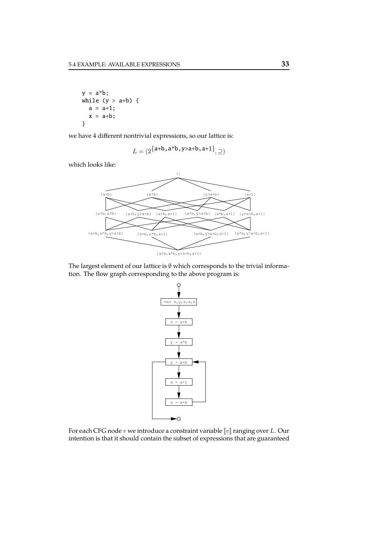$y = a * b;$ while  $(y > a+b)$  {  $a = a+1;$  $x = a+b;$ }

we have 4 different nontrivial expressions, so our lattice is:

$$
L=(2^{\{ \mathsf{a+b, a*b, y>a+b, a+1} \}}, \supseteq)
$$

which looks like:



The largest element of our lattice is Ø which corresponds to the trivial information. The flow graph corresponding to the above program is:



For each CFG node  $v$  we introduce a constraint variable  $[\![v]\!]$  ranging over  $L$ . Our intention is that it should contain the subset of expressions that are guaranteed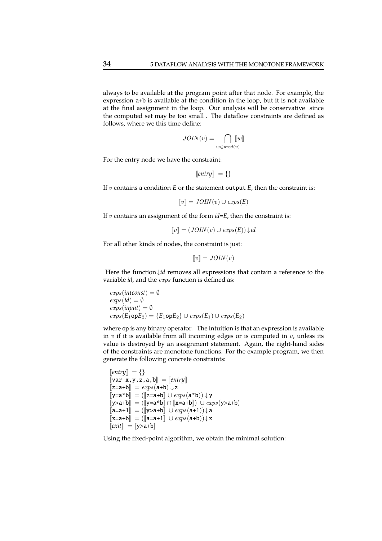always to be available at the program point after that node. For example, the expression a+b is available at the condition in the loop, but it is not available at the final assignment in the loop. Our analysis will be conservative since the computed set may be too small . The dataflow constraints are defined as follows, where we this time define:

$$
JOIN(v) = \bigcap_{w \in pred(v)}[[w]]
$$

For the entry node we have the constraint:

$$
[entry] = \{\}
$$

If v contains a condition *E* or the statement output *E*, then the constraint is:

$$
[\![v]\!] = JOIN(v) \cup exp(s(E))
$$

If v contains an assignment of the form *id*=*E*, then the constraint is:

$$
[\![v]\!] = (JOIN(v) \cup exp(s(E)) \downarrow id
$$

For all other kinds of nodes, the constraint is just:

$$
[\![v]\!] = J O I N(v)
$$

Here the function ↓*id* removes all expressions that contain a reference to the variable *id*, and the exps function is defined as:

```
exps(intconst) = ∅
exp(s(id) = \emptysetexp(s(input) = \emptysetexps(E1opE2) = {E1opE2} ∪ exps(E1) ∪ exps(E2)
```
where op is any binary operator. The intuition is that an expression is available in  $v$  if it is available from all incoming edges or is computed in  $v$ , unless its value is destroyed by an assignment statement. Again, the right-hand sides of the constraints are monotone functions. For the example program, we then generate the following concrete constraints:

```
\llbracket entry \rrbracket = \{\}\llbracketvar x,y,z,a,b\rrbracket = \llbracketentry\rrbracket\llbracket z=a+b \rrbracket = exp(s(a+b) \downarrow z\llbracket y=a*b\rrbracket = (\llbracket z=a+b\rrbracket \cup exps(a*b)) \downarrow y\llbracket y > a+b \rrbracket = (\llbracket y = a * b \rrbracket \cap \llbracket x = a+b \rrbracket) \cup exps(y>a+b)[\![a=a+1]\!] = ([\![y>a+b]\!] \cup exp(s(a+1)) \downarrow a[\![\mathbf{x}=\mathbf{a}+\mathbf{b}]\!] = (\![\mathbf{a}=\mathbf{a}+\mathbf{1}]\!] \cup exp(s(\mathbf{a}+\mathbf{b})) \downarrow \mathbf{x}\left[exit\right] = \left[y>a+b\right]
```
Using the fixed-point algorithm, we obtain the minimal solution: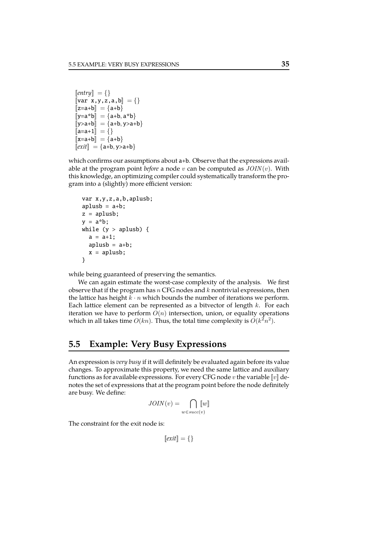```
\llbracket entry \rrbracket = \{\}\lbrack \lbrack \nabla \rbrack x, y, z, a, b\rbrack = \{\}[z=a+b] = {a+b}[[y=a * b]] = \{a+b, a * b\}[[y>a+b]] = \{a+b, y>a+b\}[a=a+1] = \{\}[x=a+b] = {a+b}[exit] = {a+b, y>a+b}
```
which confirms our assumptions about a+b. Observe that the expressions available at the program point *before* a node  $v$  can be computed as  $JOIN(v)$ . With this knowledge, an optimizing compiler could systematically transform the program into a (slightly) more efficient version:

```
var x,y,z,a,b,aplusb;
aplush = a+b;z =aplusb;
y = a * b;
while (v > aplusb) {
 a = a + 1:
 aplusb = a+b;
  x =aplusb;
}
```
while being guaranteed of preserving the semantics.

We can again estimate the worst-case complexity of the analysis. We first observe that if the program has  $n$  CFG nodes and  $k$  nontrivial expressions, then the lattice has height  $k \cdot n$  which bounds the number of iterations we perform. Each lattice element can be represented as a bitvector of length  $k$ . For each iteration we have to perform  $O(n)$  intersection, union, or equality operations which in all takes time  $O(kn)$ . Thus, the total time complexity is  $O(k^2n^2)$ .

#### **5.5 Example: Very Busy Expressions**

An expression is *very busy* if it will definitely be evaluated again before its value changes. To approximate this property, we need the same lattice and auxiliary functions as for available expressions. For every CFG node  $v$  the variable  $\llbracket v \rrbracket$  denotes the set of expressions that at the program point before the node definitely are busy. We define:

$$
JOIN(v) = \bigcap_{w \in succ(v)} [w]
$$

The constraint for the exit node is:

 $[exit] = \{\}$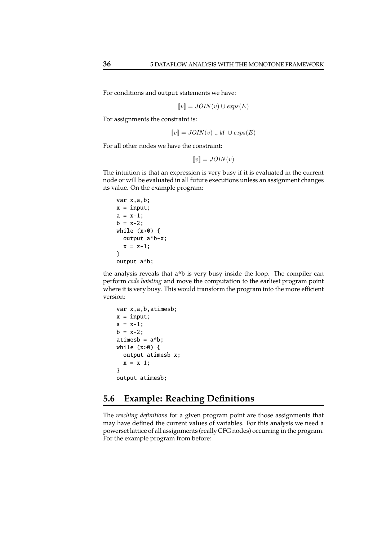For conditions and output statements we have:

$$
[\![v]\!] = JOIN(v) \cup exp(s(E))
$$

For assignments the constraint is:

$$
[\![v]\!] = J O I N(v) \downarrow id \cup exp s(E)
$$

For all other nodes we have the constraint:

$$
[\![v]\!]=\textit{JOIN}(v)
$$

The intuition is that an expression is very busy if it is evaluated in the current node or will be evaluated in all future executions unless an assignment changes its value. On the example program:

```
var x,a,b;
x = input;a = x-1;b = x-2:
while (x>0) {
 output a*b-x;
  x = x-1;}
output a*b;
```
the analysis reveals that a\*b is very busy inside the loop. The compiler can perform *code hoisting* and move the computation to the earliest program point where it is very busy. This would transform the program into the more efficient version:

```
var x,a,b,atimesb;
x = input;a = x-1;b = x-2:
atimes b = a * b;while (x>0) {
 output atimesb-x;
  x = x-1;
}
output atimesb;
```
### **5.6 Example: Reaching Definitions**

The *reaching definitions* for a given program point are those assignments that may have defined the current values of variables. For this analysis we need a powerset lattice of all assignments (really CFG nodes) occurring in the program. For the example program from before: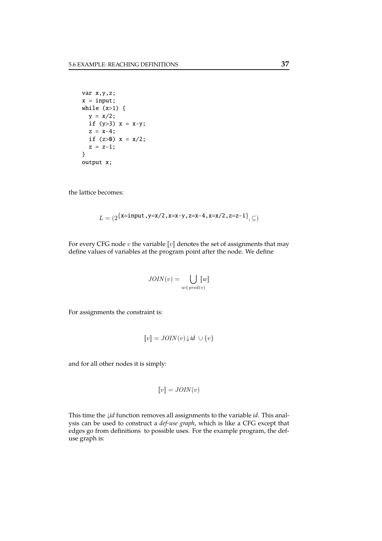```
var x,y,z;
x = input;while (x>1) {
 y = x/2;if (y>3) x = x-y;z = x-4;
 if (z>0) x = x/2;
 z = z-1;}
output x;
```
the lattice becomes:

$$
L=(2^{\{ \texttt{x}=\texttt{input},\, \texttt{y}= \texttt{x}/2\,,\, \texttt{x}=\texttt{x}-\texttt{y},\, \texttt{z}=\texttt{x}-4\,,\, \texttt{x}=\texttt{x}/2\,,\, \texttt{z}= \texttt{z}-1 \}}_{\texttt{y}\,\subseteq\, \texttt{y}}
$$

For every CFG node  $v$  the variable  $[v]$  denotes the set of assignments that may define values of variables at the program point after the node. We define

$$
JOIN(v) = \bigcup_{w \in pred(v)} [w]
$$

For assignments the constraint is:

$$
[\![v]\!] = J O I N(v) \downarrow id \cup \{v\}
$$

and for all other nodes it is simply:

$$
[\![v]\!] = J O I N(v)
$$

This time the ↓*id* function removes all assignments to the variable *id*. This analysis can be used to construct a *def-use graph*, which is like a CFG except that edges go from definitions to possible uses. For the example program, the defuse graph is: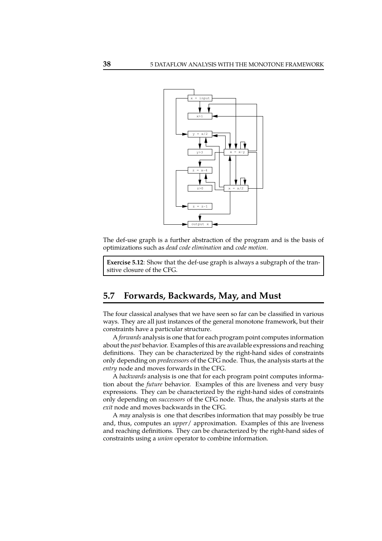

The def-use graph is a further abstraction of the program and is the basis of optimizations such as *dead code elimination* and *code motion*.

**Exercise 5.12**: Show that the def-use graph is always a subgraph of the transitive closure of the CFG.

### **5.7 Forwards, Backwards, May, and Must**

The four classical analyses that we have seen so far can be classified in various ways. They are all just instances of the general monotone framework, but their constraints have a particular structure.

A *forwards* analysis is one that for each program point computes information about the *past* behavior. Examples of this are available expressions and reaching definitions. They can be characterized by the right-hand sides of constraints only depending on *predecessors* of the CFG node. Thus, the analysis starts at the *entry* node and moves forwards in the CFG.

A *backwards* analysis is one that for each program point computes information about the *future* behavior. Examples of this are liveness and very busy expressions. They can be characterized by the right-hand sides of constraints only depending on *successors* of the CFG node. Thus, the analysis starts at the *exit* node and moves backwards in the CFG.

A *may* analysis is one that describes information that may possibly be true and, thus, computes an *upper*/ approximation. Examples of this are liveness and reaching definitions. They can be characterized by the right-hand sides of constraints using a *union* operator to combine information.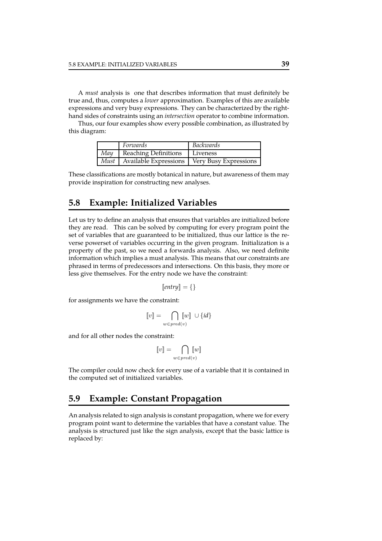A *must* analysis is one that describes information that must definitely be true and, thus, computes a *lower* approximation. Examples of this are available expressions and very busy expressions. They can be characterized by the righthand sides of constraints using an *intersection* operator to combine information.

Thus, our four examples show every possible combination, as illustrated by this diagram:

|     | Forwards                    | <i>Backwards</i>                                            |
|-----|-----------------------------|-------------------------------------------------------------|
| May | <b>Reaching Definitions</b> | Liveness                                                    |
|     |                             | <i>Must</i>   Available Expressions   Very Busy Expressions |

These classifications are mostly botanical in nature, but awareness of them may provide inspiration for constructing new analyses.

### **5.8 Example: Initialized Variables**

Let us try to define an analysis that ensures that variables are initialized before they are read. This can be solved by computing for every program point the set of variables that are guaranteed to be initialized, thus our lattice is the reverse powerset of variables occurring in the given program. Initialization is a property of the past, so we need a forwards analysis. Also, we need definite information which implies a must analysis. This means that our constraints are phrased in terms of predecessors and intersections. On this basis, they more or less give themselves. For the entry node we have the constraint:

$$
[entry] = \{\}
$$

for assignments we have the constraint:

$$
\llbracket v \rrbracket = \bigcap_{w \in pred(v)} \llbracket w \rrbracket \cup \{id\}
$$

and for all other nodes the constraint:

$$
[\![v]\!] = \bigcap_{w \in pred(v)} [\![w]\!]
$$

The compiler could now check for every use of a variable that it is contained in the computed set of initialized variables.

### **5.9 Example: Constant Propagation**

An analysis related to sign analysis is constant propagation, where we for every program point want to determine the variables that have a constant value. The analysis is structured just like the sign analysis, except that the basic lattice is replaced by: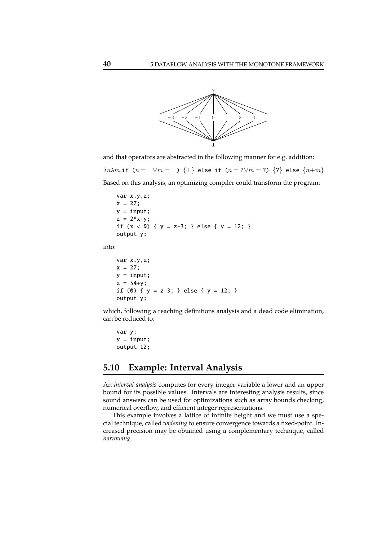

and that operators are abstracted in the following manner for e.g. addition:  $\lambda n\lambda m$ .if (n = ⊥∨m = ⊥) {⊥} else if (n = ?∨m = ?) {?} else {n+m} Based on this analysis, an optimizing compiler could transform the program:

```
var x,y,z;
x = 27;y = input;z = 2 * x + y;if (x < 0) { y = z-3; } else { y = 12; }
output y;
```
into:

```
var x,y,z;
x = 27;y = input;z = 54+y;if (0) { y = z-3; } else { y = 12; }
output y;
```
which, following a reaching definitions analysis and a dead code elimination, can be reduced to:

var y;  $y = input;$ output 12;

### **5.10 Example: Interval Analysis**

An *interval analysis* computes for every integer variable a lower and an upper bound for its possible values. Intervals are interesting analysis results, since sound answers can be used for optimizations such as array bounds checking, numerical overflow, and efficient integer representations.

This example involves a lattice of infinite height and we must use a special technique, called *widening* to ensure convergence towards a fixed-point. Increased precision may be obtained using a complementary technique, called *narrowing*.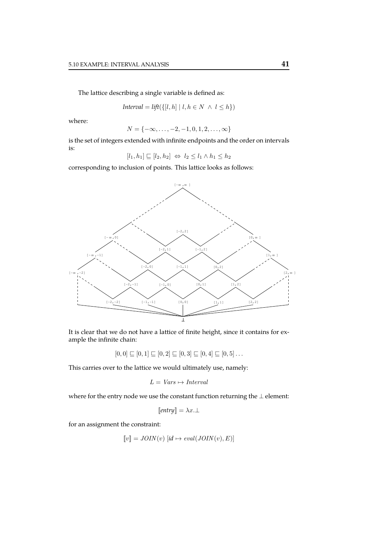The lattice describing a single variable is defined as:

$$
Interval = lift(\{[l, h] \mid l, h \in N \land l \le h\})
$$

where:

$$
N = \{-\infty, \ldots, -2, -1, 0, 1, 2, \ldots, \infty\}
$$

is the set of integers extended with infinite endpoints and the order on intervals is:

$$
[l_1, h_1] \sqsubseteq [l_2, h_2] \Leftrightarrow l_2 \le l_1 \wedge h_1 \le h_2
$$

corresponding to inclusion of points. This lattice looks as follows:



It is clear that we do not have a lattice of finite height, since it contains for example the infinite chain:

$$
[0,0] \sqsubseteq [0,1] \sqsubseteq [0,2] \sqsubseteq [0,3] \sqsubseteq [0,4] \sqsubseteq [0,5] \dots
$$

This carries over to the lattice we would ultimately use, namely:

$$
L = \mathit{Vars} \mapsto \mathit{Interval}
$$

where for the entry node we use the constant function returning the  $\bot$  element:

$$
[\![entry]\!] = \lambda x. \bot
$$

for an assignment the constraint:

$$
[\![v]\!] = J OIN(v) [id \mapsto eval(J OIN(v), E)]
$$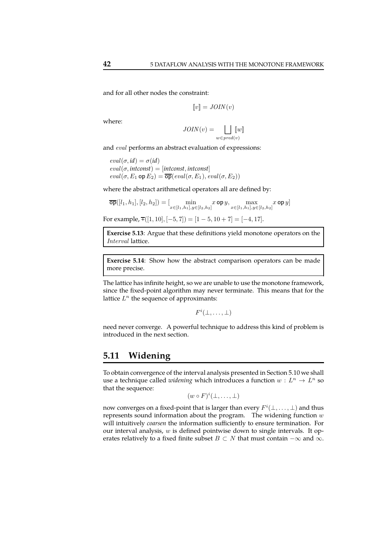and for all other nodes the constraint:

$$
[\![v]\!] = J O I N(v)
$$

where:

$$
JOIN(v) = \bigsqcup_{w \in pred(v)} [w]
$$

and eval performs an abstract evaluation of expressions:

 $eval(\sigma, id) = \sigma(id)$  $eval(\sigma, intconst) = [intconst, intconst]$  $eval(\sigma, E_1 \text{ op } E_2) = \overline{\text{op}}(eval(\sigma, E_1), eval(\sigma, E_2))$ 

where the abstract arithmetical operators all are defined by:

$$
\overline{\text{op}}([l_1,h_1],[l_2,h_2]) = [\min_{x \in [l_1,h_1], y \in [l_2,h_2]} x \text{ op } y, \max_{x \in [l_1,h_1], y \in [l_2,h_2]} x \text{ op } y]
$$

For example,  $\bar{\mathbf{+}}([1, 10], [-5, 7]) = [1 - 5, 10 + 7] = [-4, 17].$ 

**Exercise 5.13**: Argue that these definitions yield monotone operators on the Interval lattice.

**Exercise 5.14**: Show how the abstract comparison operators can be made more precise.

The lattice has infinite height, so we are unable to use the monotone framework, since the fixed-point algorithm may never terminate. This means that for the lattice  $L^n$  the sequence of approximants:

$$
F^i(\bot,\ldots,\bot)
$$

need never converge. A powerful technique to address this kind of problem is introduced in the next section.

### **5.11 Widening**

To obtain convergence of the interval analysis presented in Section 5.10 we shall use a technique called *widening* which introduces a function  $w: L^n \to L^n$  so that the sequence:

$$
(w \circ F)^i(\bot,\ldots,\bot)
$$

now converges on a fixed-point that is larger than every  $F^i(\bot,\ldots,\bot)$  and thus represents sound information about the program. The widening function  $w$ will intuitively *coarsen* the information sufficiently to ensure termination. For our interval analysis,  $w$  is defined pointwise down to single intervals. It operates relatively to a fixed finite subset  $B \subset N$  that must contain  $-\infty$  and  $\infty$ .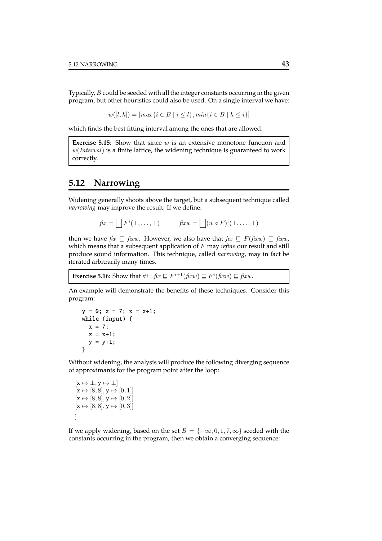Typically, B could be seeded with all the integer constants occurring in the given program, but other heuristics could also be used. On a single interval we have:

 $w([l, h]) = [max\{i \in B \mid i \leq l\}, min\{i \in B \mid h \leq i\}]$ 

which finds the best fitting interval among the ones that are allowed.

**Exercise 5.15**: Show that since w is an extensive monotone function and  $w(Interval)$  is a finite lattice, the widening technique is guaranteed to work correctly.

#### **5.12 Narrowing**

Widening generally shoots above the target, but a subsequent technique called *narrowing* may improve the result. If we define:

 $fix = | \tF^i(\perp, \ldots, \perp)$   $fixw = | \t|(w \circ F)^i(\perp, \ldots, \perp)$ 

then we have  $fix \subseteq \textit{fixw}$ . However, we also have that  $fix \subseteq \textit{F}(\textit{fixw}) \subseteq \textit{fixw}$ , which means that a subsequent application of F may *refine* our result and still produce sound information. This technique, called *narrowing*, may in fact be iterated arbitrarily many times.

**Exercise 5.16**: Show that  $\forall i : \text{fix} \sqsubseteq F^{i+1}(\text{fix} w) \sqsubseteq F^i(\text{fix} w) \sqsubseteq \text{fix} w$ .

An example will demonstrate the benefits of these techniques. Consider this program:

```
y = 0; x = 7; x = x+1;
while (input) {
 x = 7:
 x = x+1;y = y+1;}
```
Without widening, the analysis will produce the following diverging sequence of approximants for the program point after the loop:

 $[x \mapsto \bot, y \mapsto \bot]$  $\mathbf{x} \mapsto [8, 8], \mathbf{y} \mapsto [0, 1]$  $\mathbf{x} \mapsto [8, 8], \mathbf{v} \mapsto [0, 2]$  $[\mathbf{x} \mapsto [8, 8], \mathbf{y} \mapsto [0, 3]]$ . . .

If we apply widening, based on the set  $B = \{-\infty, 0, 1, 7, \infty\}$  seeded with the constants occurring in the program, then we obtain a converging sequence: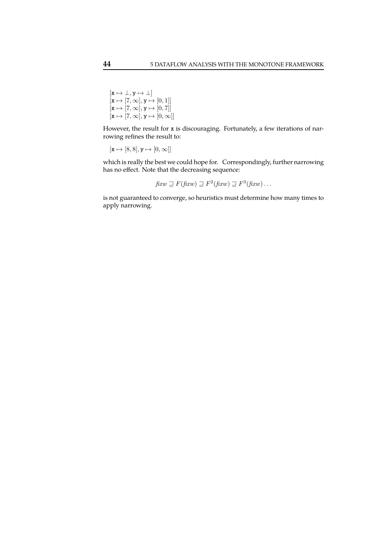$[x \mapsto \bot, y \mapsto \bot]$  $[\mathbf{x} \mapsto [7, \infty], \mathbf{y} \mapsto [0, 1]]$  $[\mathbf{x} \mapsto [7, \infty], \mathbf{y} \mapsto [0, 7]]$  $[\mathbf{x} \mapsto [7, \infty], \mathbf{y} \mapsto [0, \infty]]$ 

However, the result for x is discouraging. Fortunately, a few iterations of narrowing refines the result to:

 $[\mathbf{x} \mapsto [8, 8], \mathbf{y} \mapsto [0, \infty]]$ 

which is really the best we could hope for. Correspondingly, further narrowing has no effect. Note that the decreasing sequence:

 $\operatorname{fix}w \sqsupseteq F(\operatorname{fix}w) \sqsupseteq F^2(\operatorname{fix}w) \sqsupseteq F^3(\operatorname{fix}w) \ldots$ 

is not guaranteed to converge, so heuristics must determine how many times to apply narrowing.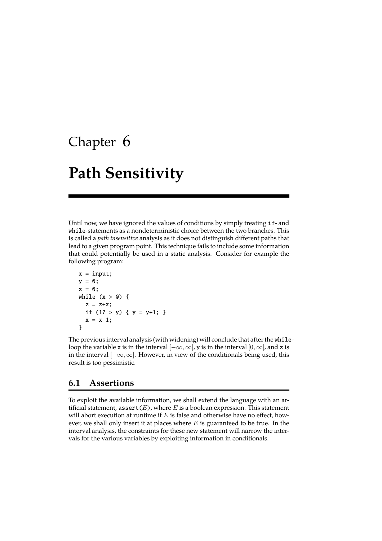# Chapter 6

# **Path Sensitivity**

Until now, we have ignored the values of conditions by simply treating if- and while-statements as a nondeterministic choice between the two branches. This is called a *path insensitive* analysis as it does not distinguish different paths that lead to a given program point. This technique fails to include some information that could potentially be used in a static analysis. Consider for example the following program:

```
x = input;v = 0:
z = 0;while (x > 0) {
  z = z+x;if (17 > y) { y = y+1; }
  x = x-1;}
```
The previous interval analysis (with widening) will conclude that after the whileloop the variable x is in the interval  $[-\infty, \infty]$ , y is in the interval  $[0, \infty]$ , and z is in the interval  $[-\infty, \infty]$ . However, in view of the conditionals being used, this result is too pessimistic.

### **6.1 Assertions**

To exploit the available information, we shall extend the language with an artificial statement,  $assert(E)$ , where E is a boolean expression. This statement will abort execution at runtime if  $E$  is false and otherwise have no effect, however, we shall only insert it at places where  $E$  is guaranteed to be true. In the interval analysis, the constraints for these new statement will narrow the intervals for the various variables by exploiting information in conditionals.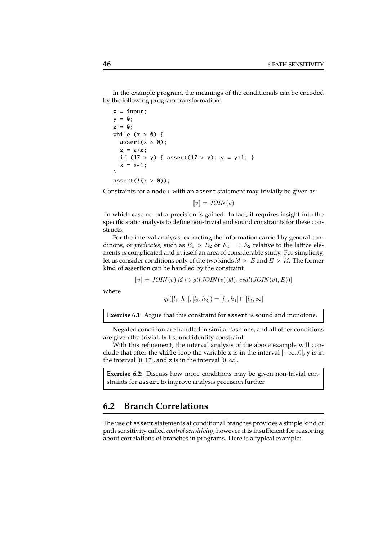In the example program, the meanings of the conditionals can be encoded by the following program transformation:

```
x = input:
v = 0:
z = 0;while (x > 0) {
  assert(x > 0);
  z = z+x:
  if (17 > y) { assert(17 > y); y = y+1; }
  x = x-1;}
assert(\cdot(x > 0));
```
Constraints for a node  $v$  with an assert statement may trivially be given as:

 $\llbracket v \rrbracket = J O I N(v)$ 

in which case no extra precision is gained. In fact, it requires insight into the specific static analysis to define non-trivial and sound constraints for these constructs.

For the interval analysis, extracting the information carried by general conditions, or *predicates*, such as  $E_1 > E_2$  or  $E_1 = E_2$  relative to the lattice elements is complicated and in itself an area of considerable study. For simplicity, let us consider conditions only of the two kinds *id* > E and E > *id*. The former kind of assertion can be handled by the constraint

 $\llbracket v \rrbracket = J OIN(v)[id \mapsto gt(J OIN(v)(id), eval(J OIN(v), E))]$ 

where

$$
gt([l_1, h_1], [l_2, h_2]) = [l_1, h_1] \sqcap [l_2, \infty]
$$

**Exercise 6.1**: Argue that this constraint for assert is sound and monotone.

Negated condition are handled in similar fashions, and all other conditions are given the trivial, but sound identity constraint.

With this refinement, the interval analysis of the above example will conclude that after the while-loop the variable x is in the interval  $[-\infty.0]$ , y is in the interval [0, 17], and z is in the interval [0,  $\infty$ ].

**Exercise 6.2**: Discuss how more conditions may be given non-trivial constraints for assert to improve analysis precision further.

### **6.2 Branch Correlations**

The use of assert statements at conditional branches provides a simple kind of path sensitivity called *control sensitivity*, however it is insufficient for reasoning about correlations of branches in programs. Here is a typical example: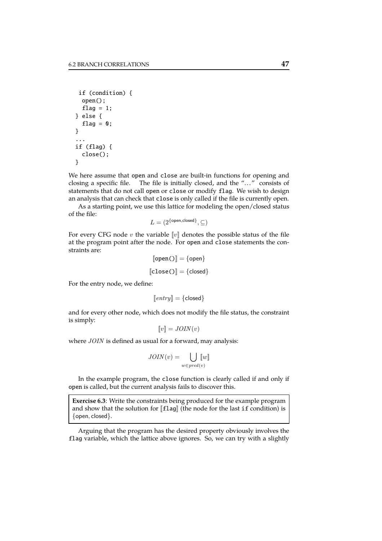```
if (condition) {
  open();
  flag = 1;
} else {
  flag = \theta;
}
...
if (flag) {
  close();
}
```
We here assume that open and close are built-in functions for opening and closing a specific file. The file is initially closed, and the "... " consists of statements that do not call open or close or modify flag. We wish to design an analysis that can check that close is only called if the file is currently open.

As a starting point, we use this lattice for modeling the open/closed status of the file:

$$
L = (2^{\{\text{open, closed}\}}, \subseteq)
$$

For every CFG node  $v$  the variable  $[v]$  denotes the possible status of the file at the program point after the node. For open and close statements the constraints are:

$$
[\text{open}()] = \{\text{open}\}
$$

$$
[\text{close}()] = \{\text{closed}\}
$$

For the entry node, we define:

$$
[\![entry]\!] = \{\mathsf{closed}\}
$$

and for every other node, which does not modify the file status, the constraint is simply:

$$
[\![v]\!] = J O I N(v)
$$

where  $JOIN$  is defined as usual for a forward, may analysis:

$$
JOIN(v) = \bigcup_{w \in pred(v)} [w]
$$

In the example program, the close function is clearly called if and only if open is called, but the current analysis fails to discover this.

**Exercise 6.3**: Write the constraints being produced for the example program and show that the solution for  $[\![\text{flag}]\!]$  (the node for the last if condition) is {open, closed}.

Arguing that the program has the desired property obviously involves the flag variable, which the lattice above ignores. So, we can try with a slightly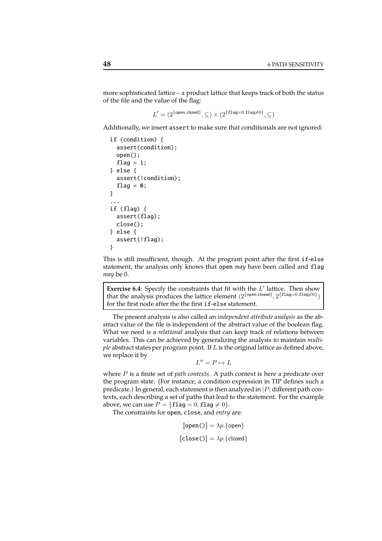more sophisticated lattice – a product lattice that keeps track of both the status of the file and the value of the flag:

 $L' = (2^{\{\mathsf{open}, \mathsf{closed}\}}, \subseteq) \times (2^{\{\mathsf{flag}=0,\mathsf{flag}\neq 0\}}, \subseteq)$ 

Additionally, we insert assert to make sure that conditionals are not ignored:

```
if (condition) {
  assert(condition);
  open();
  flag = 1;
} else {
  assert(!condition);
  flag = \theta;
}
...
if (flag) {
  assert(flag);
  close();
} else {
  assert(!flag);
}
```
This is still insufficient, though. At the program point after the first if-else statement, the analysis only knows that open *may* have been called and flag *may* be 0.

**Exercise 6.4**: Specify the constraints that fit with the  $L'$  lattice. Then show that the analysis produces the lattice element  $(2^{\{\text{open,closed}\}}, 2^{\{flag = 0,flag \neq 0\}})$ for the first node after the the first if-else statement.

The present analysis is also called an *independent attribute analysis* as the abstract value of the file is independent of the abstract value of the boolean flag. What we need is a *relational* analysis that can keep track of relations between variables. This can be achieved by generalizing the analysis to maintain *multiple* abstract states per program point. If L is the original lattice as defined above, we replace it by

$$
L'' = P \mapsto L
$$

where P is a finite set of *path contexts*. A path context is here a predicate over the program state. (For instance, a condition expression in TIP defines such a predicate.) In general, each statement is then analyzed in  $|P|$  different path contexts, each describing a set of paths that lead to the statement. For the example above, we can use  $P = \{ \text{flag} = 0, \text{flag} \neq 0 \}.$ 

The constraints for open, close, and *entry* are:

$$
[\text{open}()] = \lambda p.\{\text{open}\}\
$$

$$
[\text{close}()] = \lambda p.\{\text{closed}\}\
$$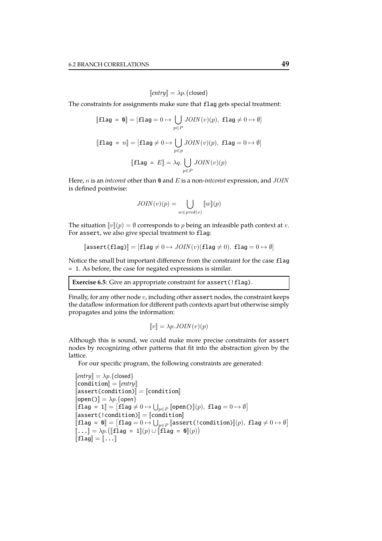$$
[\![entry]\!] = \lambda p.\{\mathsf{closed}\}
$$

The constraints for assignments make sure that flag gets special treatment:

$$
\llbracket \text{flag} = \mathbf{0} \rrbracket = \llbracket \text{flag} = 0 \mapsto \bigcup_{p \in P} J O IN(v)(p), \text{ flag} \neq 0 \mapsto \emptyset \rrbracket
$$
\n
$$
\llbracket \text{flag} = n \rrbracket = \llbracket \text{flag} \neq 0 \mapsto \bigcup_{p \in P} J O IN(v)(p), \text{ flag} = 0 \mapsto \emptyset \rrbracket
$$
\n
$$
\llbracket \text{flag} = E \rrbracket = \lambda q. \bigcup_{p \in P} J O IN(v)(p)
$$

Here, n is an *intconst* other than 0 and E is a non-*intconst* expression, and JOIN is defined pointwise:

$$
JOIN(v)(p) = \bigcup_{w \in pred(v)} [w](p)
$$

The situation  $[v](p) = \emptyset$  corresponds to p being an infeasible path context at v. For assert, we also give special treatment to flag:

$$
[\![\mathsf{assert}(\mathsf{flag})]\!] = [\mathsf{flag} \neq 0 \mapsto JOIN(v)(\mathsf{flag} \neq 0), \; \mathsf{flag} = 0 \mapsto \emptyset]
$$

Notice the small but important difference from the constraint for the case flag = 1. As before, the case for negated expressions is similar.

**Exercise 6.5**: Give an appropriate constraint for assert (! flag).

Finally, for any other node  $v$ , including other assert nodes, the constraint keeps the dataflow information for different path contexts apart but otherwise simply propagates and joins the information:

$$
[\![v]\!] = \lambda p. J O I N(v)(p)
$$

Although this is sound, we could make more precise constraints for assert nodes by recognizing other patterns that fit into the abstraction given by the lattice.

For our specific program, the following constraints are generated:

$$
\begin{aligned}\n[\textit{entry}] &= \lambda p. \{\text{closed}\} \\
[\text{condition}] &= [\textit{entry}]\n[\text{assert}(\text{condition})] = [\text{condition}]\n[\text{open}()] = \lambda p. \{\text{open}\} \\
[\text{flag = 1}] &= [\text{flag} \neq 0 \mapsto \bigcup_{p \in P} [\text{open}(0] \mid (p), \text{flag} = 0 \mapsto \emptyset] \\
[\text{assert}(\text{!condition})] &= [\text{condition}]\n[\text{flag = 0}] = [\text{flag} = 0 \mapsto \bigcup_{p \in P} [\text{assert}(\text{!condition}) \mid (p), \text{flag} \neq 0 \mapsto \emptyset] \\
[\text{...}] &= \lambda p. ([\text{flag} = 1] \mid (p) \cup [\text{flag} = 0] \mid (p))\n[\text{flag}] = [\dots]\n\end{aligned}
$$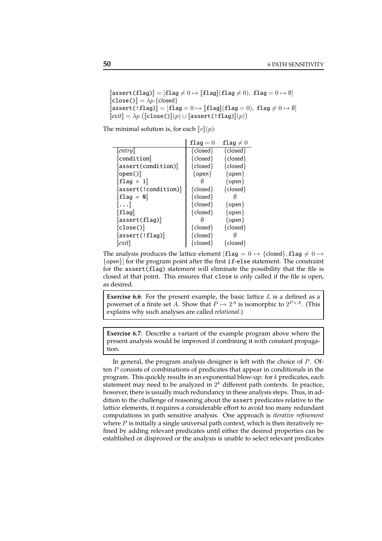```
[\texttt{assert}(\texttt{flag})] = [\texttt{flag} \neq 0 \mapsto [\texttt{flag}](\texttt{flag} \neq 0), \texttt{flag} = 0 \mapsto \emptyset][\texttt{close}()] = \lambda p.\{\texttt{closed}\}\[\texttt{assert}(!\texttt{flag})] = [\texttt{flag} = 0 \mapsto [\texttt{flag}](\texttt{flag} = 0), \texttt{flag} \neq 0 \mapsto \emptyset]\llbracket exit \rrbracket = \lambda p. (\llbracket \texttt{close()} \rrbracket(p) \cup \llbracket \texttt{assert}(\texttt{!flag}) \rrbracket(p))
```
The minimal solution is, for each  $\llbracket v \rrbracket(p)$ :

|                                                                        | $\texttt{flag} = 0$ | flag $\neq 0$ |
|------------------------------------------------------------------------|---------------------|---------------|
| $\llbracket entry \rrbracket$                                          | ${close}$           | {closed}      |
| $\llbracket$ condition $\rrbracket$                                    | ${close}$           | ${close}$     |
| $[\hspace{-0.04cm}[ \text{assert}(\text{condition})]\hspace{-0.04cm}]$ | ${close}$           | ${close}$     |
| $\llbracket \text{open()} \rrbracket$                                  | $\{open\}$          | $\{open\}$    |
| $\llbracket \texttt{flag} = 1 \rrbracket$                              |                     | $\{open\}$    |
| [assert(!condition)]                                                   | ${close}$           | ${close}$     |
| $\llbracket \texttt{flag} = \texttt{O} \rrbracket$                     | ${close}$           |               |
| $\llbracket \ldots \rrbracket$                                         | ${close}$           | $\{open\}$    |
| $\ f$ lag $\ $                                                         | ${close}$           | $\{open\}$    |
| $\llbracket \text{assert}(\text{flag}) \rrbracket$                     |                     | $\{open\}$    |
| $\llbracket \text{close()} \rrbracket$                                 | ${close}$           | ${close}$     |
| [assert(!flag)]                                                        | ${close}$           |               |
| $\ exit\ $                                                             | ${close}$           | $\{closed\}$  |

The analysis produces the lattice element  $[\text{flag} = 0 \mapsto {\{\text{closed}\}, \text{flag} \neq 0 \mapsto \{\text{closed}\}, \text{flag} \neq 0 \mapsto \{\text{closed}\}, \text{flag} \neq 0 \mapsto \{\text{closed}\}, \text{flag} \neq 0 \mapsto \{\text{closed}\}, \text{flag} \neq 0 \mapsto \{\text{closed}\}, \text{flag} \neq 0 \mapsto \{\text{closed}\}, \text{flag} \neq 0 \mapsto \{\text{closed}\}, \text{flag} \neq 0 \mapsto \{\text{closed}\},$ {open}] for the program point after the first if-else statement. The constraint for the assert(flag) statement will eliminate the possibility that the file is closed at that point. This ensures that close is only called if the file is open, as desired.

**Exercise 6.6**: For the present example, the basic lattice  $L$  is a defined as a powerset of a finite set A. Show that  $P \mapsto 2^A$  is isomorphic to  $2^{P \times A}$ . (This explains why such analyses are called *relational*.)

**Exercise 6.7**: Describe a variant of the example program above where the present analysis would be improved if combining it with constant propagation.

In general, the program analysis designer is left with the choice of P. Often P consists of combinations of predicates that appear in conditionals in the program. This quickly results in an exponential blow-up: for k predicates, each statement may need to be analyzed in  $2^k$  different path contexts. In practice, however, there is usually much redundancy in these analysis steps. Thus, in addition to the challenge of reasoning about the assert predicates relative to the lattice elements, it requires a considerable effort to avoid too many redundant computations in path sensitive analysis. One approach is *iterative refinement* where  $P$  is initially a single universal path context, which is then iteratively refined by adding relevant predicates until either the desired properties can be established or disproved or the analysis is unable to select relevant predicates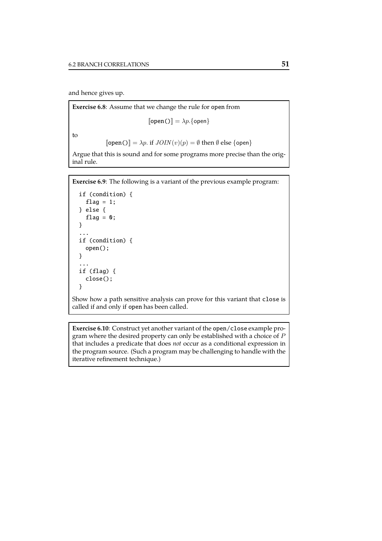and hence gives up.

| <b>Exercise 6.8:</b> Assume that we change the rule for open from |  |
|-------------------------------------------------------------------|--|
|                                                                   |  |

 $\llbracket$ open() $\rrbracket = \lambda p.\{\text{open}\}$ 

to

 $[\text{open}()] = \lambda p$ . if  $JOIN(v)(p) = \emptyset$  then  $\emptyset$  else {open}

Argue that this is sound and for some programs more precise than the original rule.

**Exercise 6.9**: The following is a variant of the previous example program:

```
if (condition) {
  flag = 1;
} else {
  flag = \theta;
}
...
if (condition) {
  open();
}
...
if (flag) {
  close();
}
```
Show how a path sensitive analysis can prove for this variant that close is called if and only if open has been called.

**Exercise 6.10**: Construct yet another variant of the open/close example program where the desired property can only be established with a choice of P that includes a predicate that does *not* occur as a conditional expression in the program source. (Such a program may be challenging to handle with the iterative refinement technique.)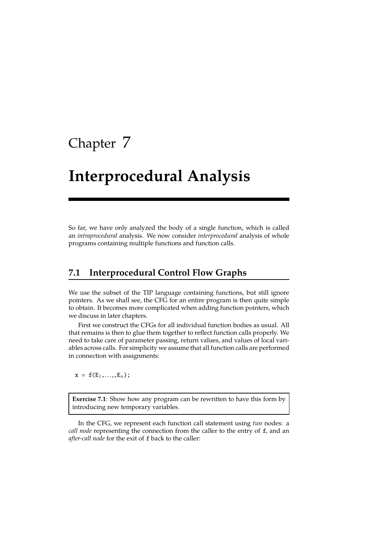# Chapter 7

# **Interprocedural Analysis**

So far, we have only analyzed the body of a single function, which is called an *intraprocedural* analysis. We now consider *interprocedural* analysis of whole programs containing multiple functions and function calls.

### **7.1 Interprocedural Control Flow Graphs**

We use the subset of the TIP language containing functions, but still ignore pointers. As we shall see, the CFG for an entire program is then quite simple to obtain. It becomes more complicated when adding function pointers, which we discuss in later chapters.

First we construct the CFGs for all individual function bodies as usual. All that remains is then to glue them together to reflect function calls properly. We need to take care of parameter passing, return values, and values of local variables across calls. For simplicity we assume that all function calls are performed in connection with assignments:

 $x = f(E_1, ..., E_n);$ 

**Exercise 7.1**: Show how any program can be rewritten to have this form by introducing new temporary variables.

In the CFG, we represent each function call statement using *two* nodes: a call node representing the connection from the caller to the entry of f, and an *after-call node* for the exit of f back to the caller: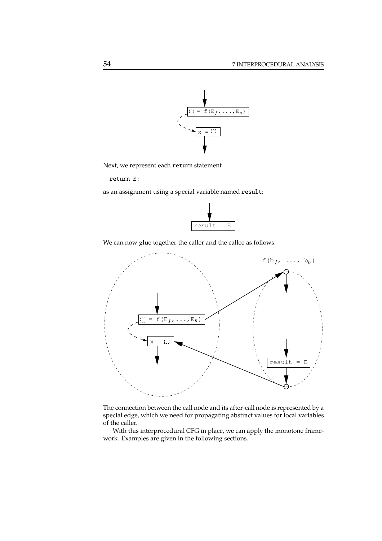

Next, we represent each return statement

return E;

as an assignment using a special variable named result:



We can now glue together the caller and the callee as follows:



The connection between the call node and its after-call node is represented by a special edge, which we need for propagating abstract values for local variables of the caller.

With this interprocedural CFG in place, we can apply the monotone framework. Examples are given in the following sections.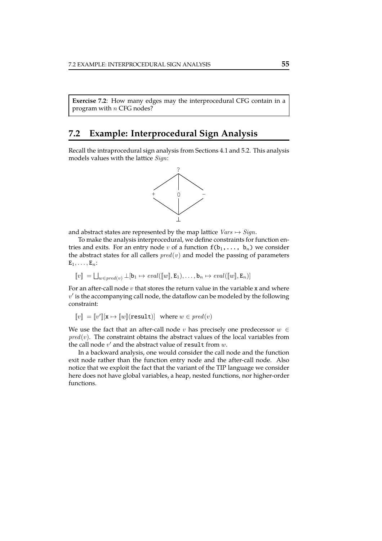**Exercise 7.2**: How many edges may the interprocedural CFG contain in a program with n CFG nodes?

### **7.2 Example: Interprocedural Sign Analysis**

Recall the intraprocedural sign analysis from Sections 4.1 and 5.2. This analysis models values with the lattice Sign:



and abstract states are represented by the map lattice  $Vars \mapsto Sign$ .

To make the analysis interprocedural, we define constraints for function entries and exits. For an entry node v of a function  $f(b_1,..., b_n)$  we consider the abstract states for all callers  $pred(v)$  and model the passing of parameters  $E_1, \ldots, E_n$ :

$$
[\![v]\!] = \bigsqcup_{w \in pred(v)} \bot[b_1 \mapsto eval([\![w]\!], \mathbf{E}_1), \ldots, \mathbf{b}_n \mapsto eval([\![w]\!], \mathbf{E}_n)]
$$

For an after-call node  $v$  that stores the return value in the variable x and where  $v'$  is the accompanying call node, the dataflow can be modeled by the following constraint:

 $\llbracket v \rrbracket = \llbracket v' \rrbracket [\mathbf{x} \mapsto \llbracket w \rrbracket (\text{result})] \text{ where } w \in \text{pred}(v)$ 

We use the fact that an after-call node v has precisely one predecessor  $w \in$  $pred(v)$ . The constraint obtains the abstract values of the local variables from the call node  $v'$  and the abstract value of result from  $w$ .

In a backward analysis, one would consider the call node and the function exit node rather than the function entry node and the after-call node. Also notice that we exploit the fact that the variant of the TIP language we consider here does not have global variables, a heap, nested functions, nor higher-order functions.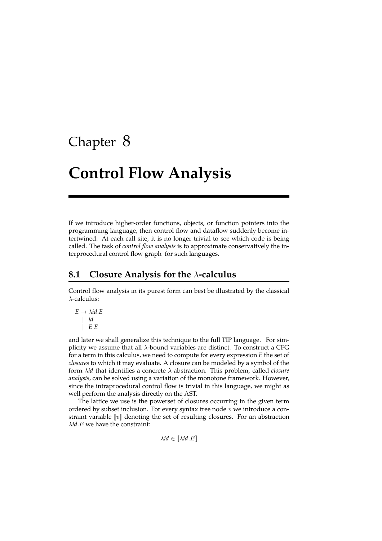# Chapter 8

# **Control Flow Analysis**

If we introduce higher-order functions, objects, or function pointers into the programming language, then control flow and dataflow suddenly become intertwined. At each call site, it is no longer trivial to see which code is being called. The task of *control flow analysis* is to approximate conservatively the interprocedural control flow graph for such languages.

### **8.1 Closure Analysis for the** λ**-calculus**

Control flow analysis in its purest form can best be illustrated by the classical λ-calculus:

$$
E \to \lambda id.E
$$
  
 |  $id$   
 |  $E$  E

and later we shall generalize this technique to the full TIP language. For simplicity we assume that all  $\lambda$ -bound variables are distinct. To construct a CFG for a term in this calculus, we need to compute for every expression *E* the set of *closures* to which it may evaluate. A closure can be modeled by a symbol of the form λ*id* that identifies a concrete λ-abstraction. This problem, called *closure analysis*, can be solved using a variation of the monotone framework. However, since the intraprocedural control flow is trivial in this language, we might as well perform the analysis directly on the AST.

The lattice we use is the powerset of closures occurring in the given term ordered by subset inclusion. For every syntax tree node  $v$  we introduce a constraint variable  $\llbracket v \rrbracket$  denoting the set of resulting closures. For an abstraction λ*id*.E we have the constraint:

 $\lambda$ *id* ∈ [ $\lambda$ *id*.*E*]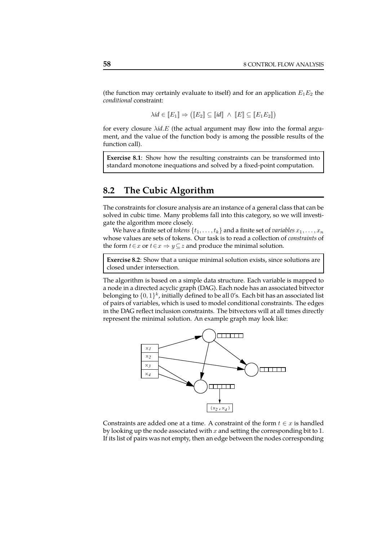(the function may certainly evaluate to itself) and for an application  $E_1E_2$  the *conditional* constraint:

 $\lambda id \in [E_1] \Rightarrow ([E_2] \subseteq [id] \land [E] \subseteq [E_1E_2])$ 

for every closure λ*id*.E (the actual argument may flow into the formal argument, and the value of the function body is among the possible results of the function call).

**Exercise 8.1**: Show how the resulting constraints can be transformed into standard monotone inequations and solved by a fixed-point computation.

### **8.2 The Cubic Algorithm**

The constraints for closure analysis are an instance of a general class that can be solved in cubic time. Many problems fall into this category, so we will investigate the algorithm more closely.

We have a finite set of *tokens*  $\{t_1, \ldots, t_k\}$  and a finite set of *variables*  $x_1, \ldots, x_n$ whose values are sets of tokens. Our task is to read a collection of *constraints* of the form  $t \in x$  or  $t \in x \Rightarrow y \subseteq z$  and produce the minimal solution.

**Exercise 8.2**: Show that a unique minimal solution exists, since solutions are closed under intersection.

The algorithm is based on a simple data structure. Each variable is mapped to a node in a directed acyclic graph (DAG). Each node has an associated bitvector belonging to  $\{0,1\}^k$ , initially defined to be all 0's. Each bit has an associated list of pairs of variables, which is used to model conditional constraints. The edges in the DAG reflect inclusion constraints. The bitvectors will at all times directly represent the minimal solution. An example graph may look like:



Constraints are added one at a time. A constraint of the form  $t \in x$  is handled by looking up the node associated with  $x$  and setting the corresponding bit to 1. If its list of pairs was not empty, then an edge between the nodes corresponding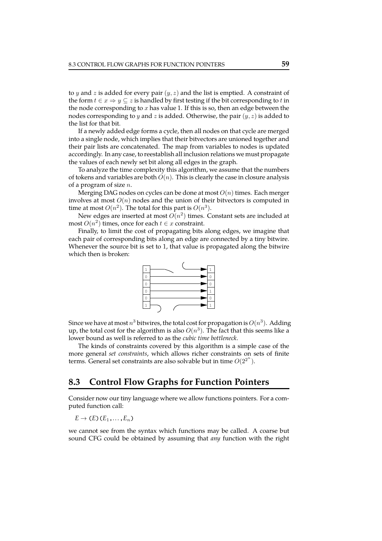to y and z is added for every pair  $(y, z)$  and the list is emptied. A constraint of the form  $t \in x \Rightarrow y \subseteq z$  is handled by first testing if the bit corresponding to t in the node corresponding to  $x$  has value 1. If this is so, then an edge between the nodes corresponding to y and z is added. Otherwise, the pair  $(y, z)$  is added to the list for that bit.

If a newly added edge forms a cycle, then all nodes on that cycle are merged into a single node, which implies that their bitvectors are unioned together and their pair lists are concatenated. The map from variables to nodes is updated accordingly. In any case, to reestablish all inclusion relations we must propagate the values of each newly set bit along all edges in the graph.

To analyze the time complexity this algorithm, we assume that the numbers of tokens and variables are both  $O(n)$ . This is clearly the case in closure analysis of a program of size  $n$ .

Merging DAG nodes on cycles can be done at most  $O(n)$  times. Each merger involves at most  $O(n)$  nodes and the union of their bitvectors is computed in time at most  $O(n^2)$ . The total for this part is  $O(n^3)$ .

New edges are inserted at most  $O(n^2)$  times. Constant sets are included at most  $O(n^2)$  times, once for each  $t \in x$  constraint.

Finally, to limit the cost of propagating bits along edges, we imagine that each pair of corresponding bits along an edge are connected by a tiny bitwire. Whenever the source bit is set to 1, that value is propagated along the bitwire which then is broken:



Since we have at most  $n^3$  bitwires, the total cost for propagation is  $O(n^3)$ . Adding up, the total cost for the algorithm is also  $O(n^3)$ . The fact that this seems like a lower bound as well is referred to as the *cubic time bottleneck*.

The kinds of constraints covered by this algorithm is a simple case of the more general *set constraints*, which allows richer constraints on sets of finite terms. General set constraints are also solvable but in time  $O(2^{2^n})$ .

### **8.3 Control Flow Graphs for Function Pointers**

Consider now our tiny language where we allow functions pointers. For a computed function call:

 $E \rightarrow (E)(E_1, \ldots, E_n)$ 

we cannot see from the syntax which functions may be called. A coarse but sound CFG could be obtained by assuming that *any* function with the right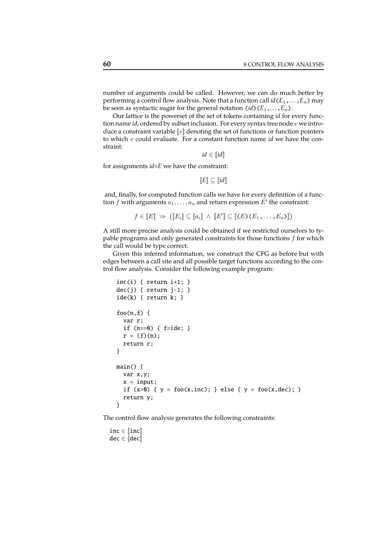number of arguments could be called. However, we can do much better by performing a control flow analysis. Note that a function call  $id(E_1,...,E_n)$  may be seen as syntactic sugar for the general notation  $(id)(E_1,...,E_n)$ .

Our lattice is the powerset of the set of tokens containing *id* for every function name *id*, ordered by subset inclusion. For every syntax tree node v we introduce a constraint variable  $\llbracket v \rrbracket$  denoting the set of functions or function pointers to which v could evaluate. For a constant function name *id* we have the constraint:

 $id \in \llbracket id \rrbracket$ 

for assignments *id*=*E* we have the constraint:

 $\llbracket E \rrbracket \subseteq \llbracket id \rrbracket$ 

and, finally, for computed function calls we have for every definition of a function  $f$  with arguments  $a_1, \ldots, a_n$  and return expression  $E'$  the constraint:

$$
f \in [E] \Rightarrow ([E_i] \subseteq [a_i] \land [E'] \subseteq [(E)(E_1, \ldots, E_n)])
$$

A still more precise analysis could be obtained if we restricted ourselves to typable programs and only generated constraints for those functions  $f$  for which the call would be type correct.

Given this inferred information, we construct the CFG as before but with edges between a call site and all possible target functions according to the control flow analysis. Consider the following example program:

```
inc(i) { return i+1; }
dec(j) { return j-1; }
ide(k) { return k; }
foo(n,f) {
  var r;
  if (n == 0) { f = ide; }
  r = (f)(n);return r;
}
main() {
  var x,y;
  x = input;if (x>0) { y = foo(x,inc); } else { y = foo(x,dec); }
  return y;
}
```
The control flow analysis generates the following constraints:

inc  $\in$  [inc]  $dec \in [dec]$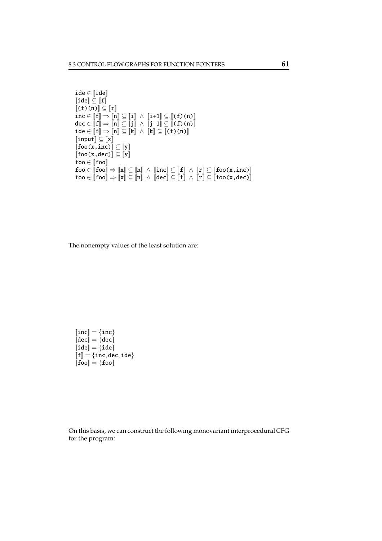```
ide \in [ide][\![\texttt{ide}]\!] \subseteq [\![\texttt{f}]\!][[(f)(n)] \subseteq [r]inc \in [\![\mathbf{f}]\!] \Rightarrow [\![\mathbf{n}]\!] \subseteq [\![\mathbf{i}]\!] \ \wedge [\![\mathbf{i+1}]\!] \subseteq [\![(\mathbf{f})(\mathbf{n})]\!]dec \in \left[\mathbf{f}\right] \Rightarrow \left[\mathbf{n}\right] \subseteq \left[\mathbf{i}\right] \land \left[\mathbf{i}-1\right] \subseteq \left[\left(\mathbf{f}\right)(\mathbf{n})\right]ide \in [\![\mathtt{f}]\!] \Rightarrow [\![\mathtt{n}]\!] \subseteq [\![\mathtt{k}]\!] \, \wedge \, [\![\mathtt{k}]\!] \subseteq [\![\mathtt(f) \, (\mathtt{n})]\!]\lceilinput\rceil \subseteq \lceil x \rceil[\![\texttt{foo(x, inc)}]\!] \subseteq [\![y]\!][\![\texttt{foo(x,dec)}]\!] \subseteq [\![\texttt{y}]\!]\texttt{foo} \in \llbracket \texttt{foo} \rrbracket\texttt{foo} \in \llbracket \texttt{foo} \rrbracket \Rightarrow \llbracket x \rrbracket \subseteq \llbracket n \rrbracket \ \wedge \ \llbracket \texttt{inc} \rrbracket \subseteq \llbracket \texttt{f} \rrbracket \wedge \ \llbracket \texttt{r} \rrbracket \subseteq \llbracket \texttt{foo}(x,\texttt{inc}) \rrbracket\texttt{foo} \in \llbracket \texttt{foo} \rrbracket \Rightarrow \llbracket \texttt{x} \rrbracket \subseteq \llbracket \texttt{n} \rrbracket \, \wedge \, \llbracket \texttt{dec} \rrbracket \subseteq \llbracket \texttt{f} \rrbracket \subseteq \llbracket \texttt{foo}(\texttt{x}, \texttt{dec}) \rrbracket
```
The nonempty values of the least solution are:

 $[\texttt{inc}] = \{\texttt{inc}\}$  $\llbracket \mathsf{dec} \rrbracket = \{\mathsf{dec}\}$  $\llbracket$ ide $\rrbracket = \{\texttt{ide}\}$  $\mathbf{f}$  = {inc, dec, ide}  $[[foo] = {foo}$ 

On this basis, we can construct the following monovariant interprocedural CFG for the program: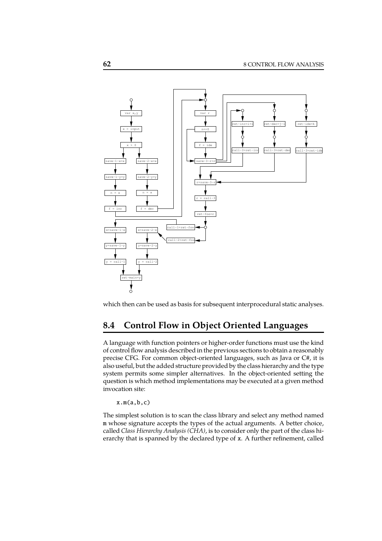

which then can be used as basis for subsequent interprocedural static analyses.

### **8.4 Control Flow in Object Oriented Languages**

A language with function pointers or higher-order functions must use the kind of control flow analysis described in the previous sections to obtain a reasonably precise CFG. For common object-oriented languages, such as Java or C#, it is also useful, but the added structure provided by the class hierarchy and the type system permits some simpler alternatives. In the object-oriented setting the question is which method implementations may be executed at a given method invocation site:

 $x.m(a,b,c)$ 

The simplest solution is to scan the class library and select any method named m whose signature accepts the types of the actual arguments. A better choice, called *Class Hierarchy Analysis (CHA)*, is to consider only the part of the class hierarchy that is spanned by the declared type of x. A further refinement, called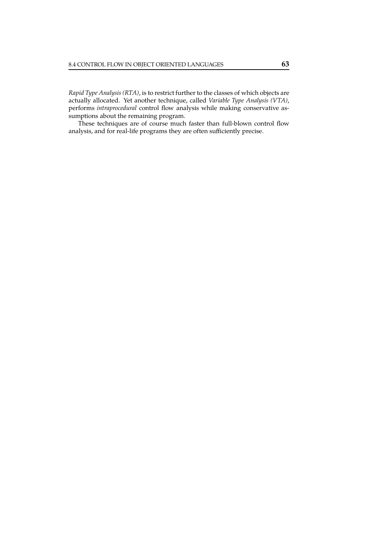*Rapid Type Analysis (RTA)*, is to restrict further to the classes of which objects are actually allocated. Yet another technique, called *Variable Type Analysis (VTA)*, performs *intraprocedural* control flow analysis while making conservative assumptions about the remaining program.

These techniques are of course much faster than full-blown control flow analysis, and for real-life programs they are often sufficiently precise.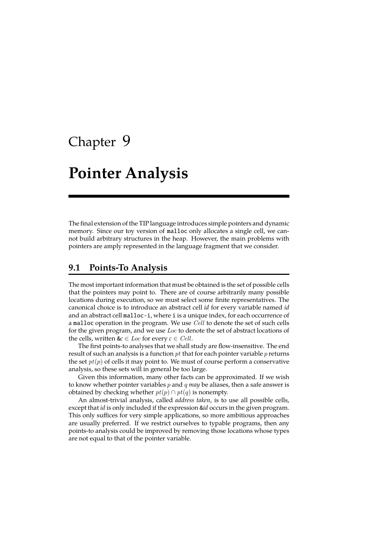### Chapter 9

# **Pointer Analysis**

The final extension of the TIP language introduces simple pointers and dynamic memory. Since our toy version of malloc only allocates a single cell, we cannot build arbitrary structures in the heap. However, the main problems with pointers are amply represented in the language fragment that we consider.

### **9.1 Points-To Analysis**

The most important information that must be obtained is the set of possible cells that the pointers may point to. There are of course arbitrarily many possible locations during execution, so we must select some finite representatives. The canonical choice is to introduce an abstract cell *id* for every variable named *id* and an abstract cell malloc-i, where i is a unique index, for each occurrence of a malloc operation in the program. We use Cell to denote the set of such cells for the given program, and we use  $Loc$  to denote the set of abstract locations of the cells, written  $\&c \in Loc$  for every  $c \in Cell$ .

The first points-to analyses that we shall study are flow-insensitive. The end result of such an analysis is a function  $pt$  that for each pointer variable  $p$  returns the set  $pt(p)$  of cells it may point to. We must of course perform a conservative analysis, so these sets will in general be too large.

Given this information, many other facts can be approximated. If we wish to know whether pointer variables p and q *may* be aliases, then a safe answer is obtained by checking whether  $pt(p) \cap pt(q)$  is nonempty.

An almost-trivial analysis, called *address taken*, is to use all possible cells, except that *id* is only included if the expression &*id* occurs in the given program. This only suffices for very simple applications, so more ambitious approaches are usually preferred. If we restrict ourselves to typable programs, then any points-to analysis could be improved by removing those locations whose types are not equal to that of the pointer variable.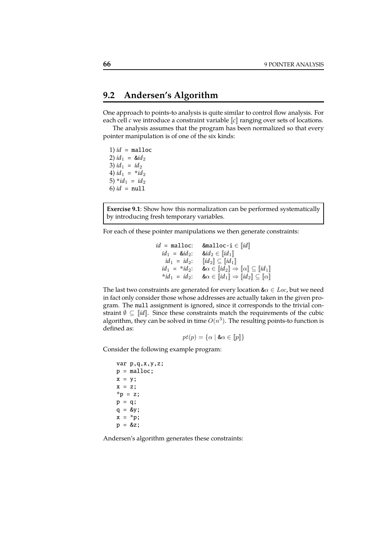### **9.2 Andersen's Algorithm**

One approach to points-to analysis is quite similar to control flow analysis. For each cell *c* we introduce a constraint variable  $\llbracket c \rrbracket$  ranging over sets of locations.

The analysis assumes that the program has been normalized so that every pointer manipulation is of one of the six kinds:

1)  $id = \text{malloc}$ 2)  $id_1 = 8id_2$ 3)  $id_1 = id_2$ 4)  $id_1 = *id_2$ 5) \* $id_1 = id_2$  $6)$  *id* =  $null$ 

**Exercise 9.1**: Show how this normalization can be performed systematically by introducing fresh temporary variables.

For each of these pointer manipulations we then generate constraints:

 $id$  = malloc: &malloc-i  $\in$   $\lceil id \rceil$ *id*<sub>1</sub> = &*id*<sub>2</sub>: &*id*<sub>2</sub>  $\in$  [*id*<sub>1</sub>]  $id_1 = id_2: \quad [id_2] \subseteq [id_1]$  $id_1 = *id_2$ :  $\&\alpha \in [id_2] \Rightarrow [\alpha] \subseteq [id_1]$ <br>  $*id_1 = id_2$ :  $\&\alpha \in [id_1] \Rightarrow [id_2] \subseteq [\alpha]$  $\&\alpha \in [id_1] \Rightarrow [id_2] \subseteq [\alpha]$ 

The last two constraints are generated for every location  $\&\alpha \in Loc$ , but we need in fact only consider those whose addresses are actually taken in the given program. The null assignment is ignored, since it corresponds to the trivial constraint  $\emptyset \subseteq \lbrack id \rbrack$ . Since these constraints match the requirements of the cubic algorithm, they can be solved in time  $O(n^3)$ . The resulting points-to function is defined as:

$$
pt(p) = \{ \alpha \mid \& \alpha \in [p] \}
$$

Consider the following example program:

var p,q,x,y,z;  $p =$  malloc;  $x = y;$  $x = z;$  $*p = z;$  $p = q;$  $q = \&y$  $x = *p;$  $p = \&z$ 

Andersen's algorithm generates these constraints: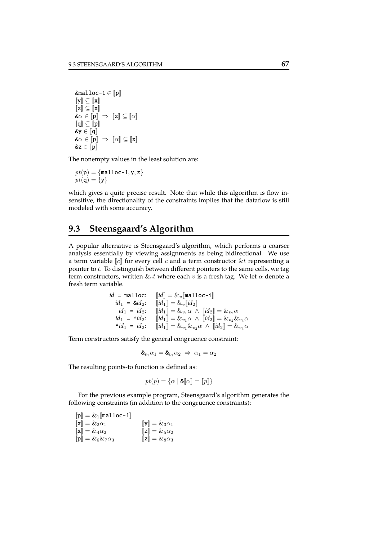&malloc- $1 \in [p]$  $[\![y]\!] \subseteq [\![x]\!]$  $[\![z]\!] \subseteq [\![x]\!]$  $\&\alpha \in [\![p]\!] \Rightarrow [\![z]\!] \subseteq [\![\alpha]\!]$  $[\![q]\!] \subseteq [\![p]\!]$  $\&y \in \llbracket q \rrbracket$  $\&\alpha \in [\![p]\!] \Rightarrow [\![\alpha]\!] \subseteq [\![x]\!]$  $&z \in \llbracket p \rrbracket$ 

The nonempty values in the least solution are:

$$
pt(\mathbf{p}) = \{\texttt{malloc-1}, \mathbf{y}, \mathbf{z}\}
$$

$$
pt(\mathbf{q}) = \{\mathbf{y}\}
$$

which gives a quite precise result. Note that while this algorithm is flow insensitive, the directionality of the constraints implies that the dataflow is still modeled with some accuracy.

# **9.3 Steensgaard's Algorithm**

A popular alternative is Steensgaard's algorithm, which performs a coarser analysis essentially by viewing assignments as being bidirectional. We use a term variable  $\llbracket c \rrbracket$  for every cell c and a term constructor  $\&t$  representing a pointer to  $t$ . To distinguish between different pointers to the same cells, we tag term constructors, written  $\&_v t$  where each v is a fresh tag. We let  $\alpha$  denote a fresh term variable.

$$
\begin{array}{ll}\n id = \text{malloc:} & [id] = \& v \llbracket \text{malloc}-\text{i} \rrbracket \\
 id_1 = \text{S}id_2: & [id_1] = \& v \llbracket id_2 \rrbracket \\
 id_1 = id_2: & [id_1] = \& v_1 \alpha \ \wedge \ [id_2] = \& v_2 \alpha \\
 id_1 = \text{*}id_2: & [id_1] = \& v_1 \alpha \ \wedge \ [id_2] = \& v_2 \& v_3 \alpha \\
 \text{*}id_1 = id_2: & [id_1] = \& v_1 \& v_2 \alpha \ \wedge \ [id_2] = \& v_3 \alpha\n\end{array}
$$

Term constructors satisfy the general congruence constraint:

$$
\mathbf{A}_{v_1}\alpha_1 = \mathbf{A}_{v_2}\alpha_2 \ \Rightarrow \ \alpha_1 = \alpha_2
$$

The resulting points-to function is defined as:

$$
pt(p) = \{\alpha \mid \mathbf{\&}[\![\alpha]\!] = [\![p]\!]\}
$$

For the previous example program, Steensgaard's algorithm generates the following constraints (in addition to the congruence constraints):

$$
\begin{array}{ll}\n[\mathbf{p}] = \& \mathbf{1} \text{ [malloc-1]} \\
[\mathbf{x}] = \& \mathbf{2}\alpha_1 \\
[\mathbf{x}] = \& \mathbf{4}\alpha_2 \\
[\mathbf{p}] = \& \mathbf{6}\& \mathbf{7}\alpha_3\n\end{array}\n\qquad\n\begin{array}{ll}\n[\mathbf{y}] = \& \mathbf{3}\alpha_1 \\
[\mathbf{z}] = \& \mathbf{5}\alpha_2 \\
[\mathbf{z}] = \& \mathbf{8}\alpha_3\n\end{array}
$$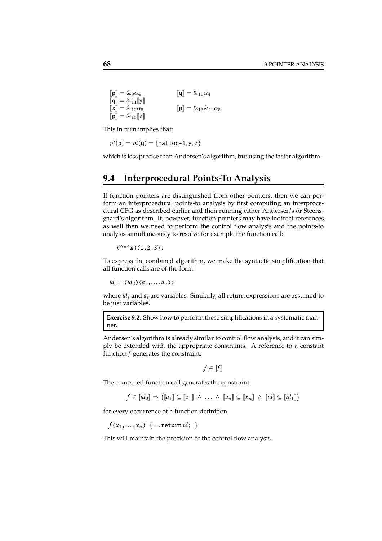$[\![\mathbf{p}]\!] = \&_9 \alpha_4$   $[\![\mathbf{q}]\!] = \&_{10} \alpha_4$  $\llbracket \mathbf{q} \rrbracket = \&_{11} \llbracket \mathbf{y} \rrbracket$ <br> $\llbracket \mathbf{x} \rrbracket = \&_{12} \alpha_5$  $[\![\mathbf{p}]\!] = \&_{13}\&_{14}\alpha_5$  $[\![\mathbf{p}]\!] = \&_{15}[\![\mathbf{z}]\!]$ 

This in turn implies that:

 $pt(p) = pt(q) = {malloc-1, y, z}$ 

which is less precise than Andersen's algorithm, but using the faster algorithm.

## **9.4 Interprocedural Points-To Analysis**

If function pointers are distinguished from other pointers, then we can perform an interprocedural points-to analysis by first computing an interprocedural CFG as described earlier and then running either Andersen's or Steensgaard's algorithm. If, however, function pointers may have indirect references as well then we need to perform the control flow analysis and the points-to analysis simultaneously to resolve for example the function call:

$$
(***x)(1,2,3);
$$

To express the combined algorithm, we make the syntactic simplification that all function calls are of the form:

 $id_1 = (id_2)(a_1, ..., a_n);$ 

where  $id_i$  and  $a_i$  are variables. Similarly, all return expressions are assumed to be just variables.

**Exercise 9.2**: Show how to perform these simplifications in a systematic manner.

Andersen's algorithm is already similar to control flow analysis, and it can simply be extended with the appropriate constraints. A reference to a constant function *f* generates the constraint:

 $f \in \llbracket f \rrbracket$ 

The computed function call generates the constraint

$$
f \in [id_2] \Rightarrow ([a_1] \subseteq [x_1] \land \ldots \land [a_n] \subseteq [x_n] \land [id] \subseteq [id_1])
$$

for every occurrence of a function definition

*f* (*x*1,...,*x*n) { ...return *id*; }

This will maintain the precision of the control flow analysis.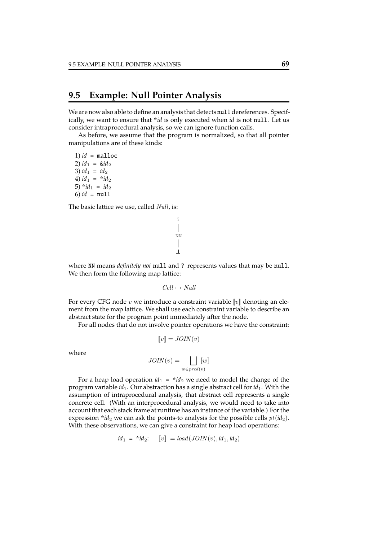#### **9.5 Example: Null Pointer Analysis**

We are now also able to define an analysis that detects null dereferences. Specifically, we want to ensure that \**id* is only executed when *id* is not null. Let us consider intraprocedural analysis, so we can ignore function calls.

As before, we assume that the program is normalized, so that all pointer manipulations are of these kinds:

 $1)$  *id* = malloc 2)  $id_1 = 8id_2$ 3)  $id_1 = id_2$ 4)  $id_1 = *id_2$ 5) \* $id_1 = id_2$ 6)  $id = null$ 

The basic lattice we use, called Null, is:

$$
\begin{array}{c}\n? \\
\vdots \\
\downarrow \\
\downarrow\n\end{array}
$$

where NN means *definitely not* null and ? represents values that may be null. We then form the following map lattice:

 $Cell \mapsto Null$ 

For every CFG node  $v$  we introduce a constraint variable  $\llbracket v \rrbracket$  denoting an element from the map lattice. We shall use each constraint variable to describe an abstract state for the program point immediately after the node.

For all nodes that do not involve pointer operations we have the constraint:

$$
[\![v]\!] = J O I N(v)
$$

where

$$
JOIN(v) = \bigsqcup_{w \in pred(v)} [w]
$$

For a heap load operation  $id_1 = *id_2$  we need to model the change of the program variable  $id_1$ . Our abstraction has a single abstract cell for  $id_1$ . With the assumption of intraprocedural analysis, that abstract cell represents a single concrete cell. (With an interprocedural analysis, we would need to take into account that each stack frame at runtime has an instance of the variable.) For the expression  $*id_2$  we can ask the points-to analysis for the possible cells  $pt(id_2)$ . With these observations, we can give a constraint for heap load operations:

$$
id_1 = *id_2: \quad [v] = load(JOIN(v), id_1, id_2)
$$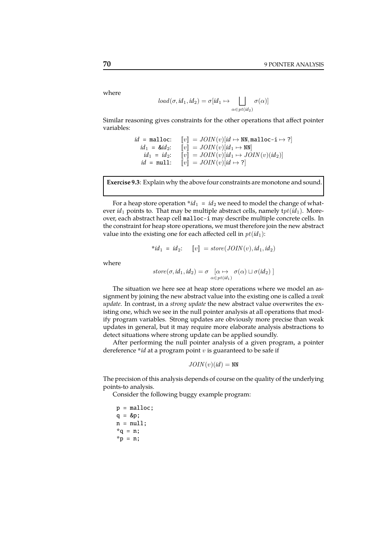where

$$
load(\sigma, id_1, id_2) = \sigma [id_1 \mapsto \bigsqcup_{\alpha \in pt(id_2)} \sigma(\alpha)]
$$

Similar reasoning gives constraints for the other operations that affect pointer variables:

```
id = \text{malloc:} \quad [v] = J O IN(v) [id \mapsto NN, \text{malloc-i} \mapsto ?]id_1 = \&id_2: \quad [v] = J O IN(v) [id_1 \mapsto NN]id_1 = id_2: [v] = JOIN(v)[id_1 \mapsto JOIN(v)(id_2)]id = \text{null}: [v] = J O I N(v) [id \mapsto ?]
```
**Exercise 9.3**: Explain why the above four constraints are monotone and sound.

For a heap store operation  $*id_1 = id_2$  we need to model the change of whatever  $id_1$  points to. That may be multiple abstract cells, namely  $tr(i d_1)$ . Moreover, each abstract heap cell malloc-i may describe multiple concrete cells. In the constraint for heap store operations, we must therefore join the new abstract value into the existing one for each affected cell in  $pt(id_1)$ :

$$
*id_1 = id_2: \quad [v] = store(JOIN(v), id_1, id_2)
$$

where

$$
store(\sigma, id_1, id_2) = \sigma \left[ \alpha \mapsto \sigma(\alpha) \sqcup \sigma(id_2) \right]
$$
  

$$
\alpha \in pt(id_1)
$$

The situation we here see at heap store operations where we model an assignment by joining the new abstract value into the existing one is called a *weak update*. In contrast, in a *strong update* the new abstract value overwrites the existing one, which we see in the null pointer analysis at all operations that modify program variables. Strong updates are obviously more precise than weak updates in general, but it may require more elaborate analysis abstractions to detect situations where strong update can be applied soundly.

After performing the null pointer analysis of a given program, a pointer dereference  $*id$  at a program point  $v$  is guaranteed to be safe if

$$
JOIN(v)(id) = NN
$$

The precision of this analysis depends of course on the quality of the underlying points-to analysis.

Consider the following buggy example program:

 $p =$  malloc;  $q = \&p$  $n = null;$  $*q = n;$  $**p* = *n*;$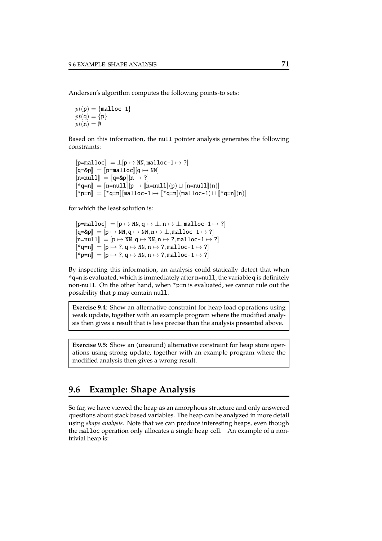Andersen's algorithm computes the following points-to sets:

 $pt(\mathbf{p}) = \{ \texttt{malloc-1} \}$  $pt(\mathbf{q}) = {\mathbf{p}}$  $pt(n) = \emptyset$ 

Based on this information, the null pointer analysis generates the following constraints:

```
[p=malloc] = \bot[p \mapsto NN, malloc-1 \mapsto ?]
\llbracket \bm{{\tt q}} = \bm{{\tt \&p}} \rrbracket = \llbracket {\tt p=malloc} \rrbracket [\bm{{\tt q}} \mapsto {\tt NN}][\![n=nu11]\!] = [\![q=8p]\!] [\![n \mapsto ?]\!]\begin{bmatrix} \n * & q=n \n \end{bmatrix} = \n \begin{bmatrix} \n n=nu11 \n \end{bmatrix} \n \begin{bmatrix} p \mapsto \n \begin{bmatrix} \n n=nu11 \n \end{bmatrix} \n \end{bmatrix}\[\mathbb{r}^*p=n\] = \[\mathbb{r}^*q=n\][malloc-1 \mapsto \[\mathbb{r}^*q=n\](malloc-1) \sqcup \[\mathbb{r}^*q=n\](n)]
```
for which the least solution is:

 $[p=$ malloc $] = [p \mapsto NN, q \mapsto \bot, n \mapsto \bot,$ malloc-1 $\mapsto$ ?  $[q=8p] = [p \mapsto NN, q \mapsto NN, n \mapsto \perp, \text{malloc-1} \mapsto ?]$  $[\![n=nu11]\!] = [\![p \mapsto NN, q \mapsto NN, n \mapsto ?, \text{malloc-1} \mapsto ?]$  $\[\mathbb{r} \cdot \mathsf{q} = \mathsf{n}\] = [\mathsf{p} \mapsto ?, \mathsf{q} \mapsto \mathsf{NN}, \mathsf{n} \mapsto ?, \mathsf{malloc-1} \mapsto ?]$  $\[\mathbb{r}^*p=n\] = [p \mapsto ?, q \mapsto NN, n \mapsto ?, \text{malloc-1} \mapsto ?]$ 

By inspecting this information, an analysis could statically detect that when \*q=n is evaluated, which is immediately after n=null, the variable q is definitely non-null. On the other hand, when \*p=n is evaluated, we cannot rule out the possibility that p may contain null.

**Exercise 9.4**: Show an alternative constraint for heap load operations using weak update, together with an example program where the modified analysis then gives a result that is less precise than the analysis presented above.

**Exercise 9.5**: Show an (unsound) alternative constraint for heap store operations using strong update, together with an example program where the modified analysis then gives a wrong result.

## **9.6 Example: Shape Analysis**

So far, we have viewed the heap as an amorphous structure and only answered questions about stack based variables. The heap can be analyzed in more detail using *shape analysis*. Note that we can produce interesting heaps, even though the malloc operation only allocates a single heap cell. An example of a nontrivial heap is: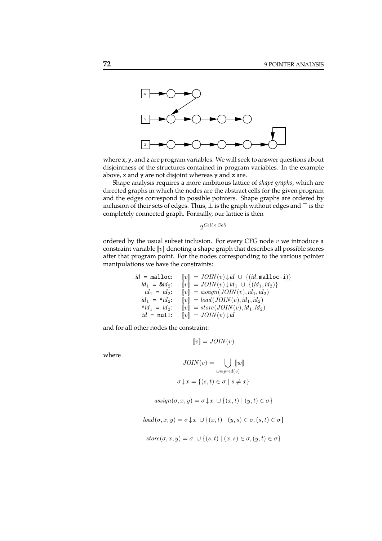

where x, y, and z are program variables. We will seek to answer questions about disjointness of the structures contained in program variables. In the example above, x and y are not disjoint whereas y and z are.

Shape analysis requires a more ambitious lattice of *shape graphs*, which are directed graphs in which the nodes are the abstract cells for the given program and the edges correspond to possible pointers. Shape graphs are ordered by inclusion of their sets of edges. Thus, ⊥ is the graph without edges and ⊤ is the completely connected graph. Formally, our lattice is then

#### $2^{Cell \times Cell}$

ordered by the usual subset inclusion. For every CFG node  $v$  we introduce a constraint variable  $[v]$  denoting a shape graph that describes all possible stores after that program point. For the nodes corresponding to the various pointer manipulations we have the constraints:

$$
\begin{array}{ll}\n\text{id} = \text{malloc:} & [v] = J O IN(v) \downarrow \text{id} \cup \{(\text{id}, \text{malloc}-\text{i})\} \\
\text{id}_1 = \text{did}_2: & [v] = J O IN(v) \downarrow \text{id}_1 \cup \{(\text{id}_1, \text{id}_2)\} \\
\text{id}_1 = \text{id}_2: & [v] = \text{assign}(J O IN(v), \text{id}_1, \text{id}_2) \\
\text{id}_1 = \text{"id}_2: & [v] = \text{load}(J O IN(v), \text{id}_1, \text{id}_2) \\
\text{"id}_1 = \text{id}_2: & [v] = \text{store}(J O IN(v), \text{id}_1, \text{id}_2) \\
\text{id} = \text{null:} & [v] = J O IN(v) \downarrow \text{id}\n\end{array}
$$

and for all other nodes the constraint:

$$
[\![v]\!] = J O I N(v)
$$

where

$$
JOIN(v) = \bigcup_{w \in pred(v)} [w]
$$

$$
\sigma \downarrow x = \{(s, t) \in \sigma \mid s \neq x\}
$$

$$
assign(\sigma, x, y) = \sigma \downarrow x \cup \{(x, t) \mid (y, t) \in \sigma\}
$$

$$
load(\sigma, x, y) = \sigma \downarrow x \cup \{(x, t) \mid (y, s) \in \sigma, (s, t) \in \sigma\}
$$

$$
store(\sigma, x, y) = \sigma \cup \{(s, t) \mid (x, s) \in \sigma, (y, t) \in \sigma\}
$$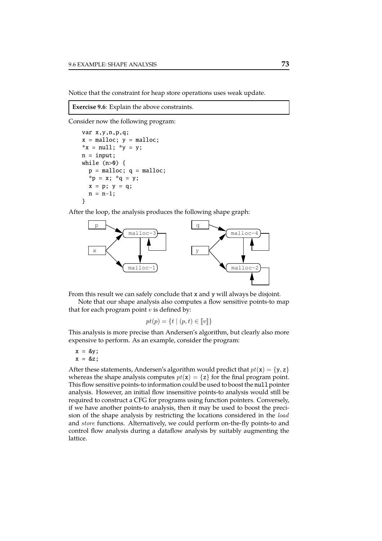Notice that the constraint for heap store operations uses weak update.

**Exercise 9.6**: Explain the above constraints.

Consider now the following program:

```
var x,y,n,p,q;
x = malloc; y = malloc;
*x = null; *y = y;n = input;while (n>0) {
 p = malloc; q = malloc;
  *p = x; *q = y;
 x = p; y = q;
 n = n-1;}
```
After the loop, the analysis produces the following shape graph:



From this result we can safely conclude that x and y will always be disjoint.

Note that our shape analysis also computes a flow sensitive points-to map that for each program point  $v$  is defined by:

$$
pt(p) = \{ t \mid (p, t) \in [v] \}
$$

This analysis is more precise than Andersen's algorithm, but clearly also more expensive to perform. As an example, consider the program:

$$
x = \&y
$$

$$
x = \&z
$$

After these statements, Andersen's algorithm would predict that  $pt(x) = \{y, z\}$ whereas the shape analysis computes  $pt(x) = \{z\}$  for the final program point. This flow sensitive points-to information could be used to boost the nullpointer analysis. However, an initial flow insensitive points-to analysis would still be required to construct a CFG for programs using function pointers. Conversely, if we have another points-to analysis, then it may be used to boost the precision of the shape analysis by restricting the locations considered in the load and *store* functions. Alternatively, we could perform on-the-fly points-to and control flow analysis during a dataflow analysis by suitably augmenting the lattice.